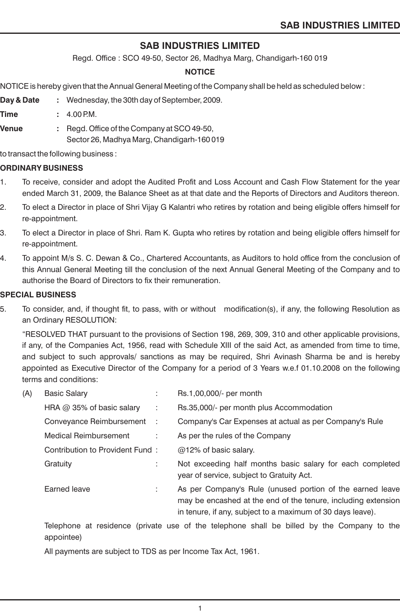# **SAB INDUSTRIES LIMITED**

Regd. Office : SCO 49-50, Sector 26, Madhya Marg, Chandigarh-160 019

### **NOTICE**

NOTICE is hereby given that the Annual General Meeting of the Company shall be held as scheduled below :

- **Day & Date :** Wednesday, the 30th day of September, 2009.
- **Time :** 4.00 PM.
- **Venue :** Regd. Office of the Company at SCO 49-50, Sector 26, Madhya Marg, Chandigarh-160 019

to transact the following business :

### **ORDINARY BUSINESS**

- 1. To receive, consider and adopt the Audited Profit and Loss Account and Cash Flow Statement for the year ended March 31, 2009, the Balance Sheet as at that date and the Reports of Directors and Auditors thereon.
- 2. To elect a Director in place of Shri Vijay G Kalantri who retires by rotation and being eligible offers himself for re-appointment.
- 3. To elect a Director in place of Shri. Ram K. Gupta who retires by rotation and being eligible offers himself for re-appointment.
- 4. To appoint M/s S. C. Dewan & Co., Chartered Accountants, as Auditors to hold office from the conclusion of this Annual General Meeting till the conclusion of the next Annual General Meeting of the Company and to authorise the Board of Directors to fix their remuneration.

### **SPECIAL BUSINESS**

5. To consider, and, if thought fit, to pass, with or without modification(s), if any, the following Resolution as an Ordinary RESOLUTION:

"RESOLVED THAT pursuant to the provisions of Section 198, 269, 309, 310 and other applicable provisions, if any, of the Companies Act, 1956, read with Schedule XIII of the said Act, as amended from time to time, and subject to such approvals/ sanctions as may be required, Shri Avinash Sharma be and is hereby appointed as Executive Director of the Company for a period of 3 Years w.e.f 01.10.2008 on the following terms and conditions:

| (A) | <b>Basic Salary</b>              |      | Rs.1,00,000/- per month                                                                                                                                                                  |
|-----|----------------------------------|------|------------------------------------------------------------------------------------------------------------------------------------------------------------------------------------------|
|     | HRA $\omega$ 35% of basic salary | ÷    | Rs.35,000/- per month plus Accommodation                                                                                                                                                 |
|     | Conveyance Reimbursement         | - 11 | Company's Car Expenses at actual as per Company's Rule                                                                                                                                   |
|     | <b>Medical Reimbursement</b>     | ÷    | As per the rules of the Company                                                                                                                                                          |
|     | Contribution to Provident Fund:  |      | $@12\%$ of basic salary.                                                                                                                                                                 |
|     | Gratuity                         | ÷    | Not exceeding half months basic salary for each completed<br>year of service, subject to Gratuity Act.                                                                                   |
|     | Earned leave                     | ÷    | As per Company's Rule (unused portion of the earned leave<br>may be encashed at the end of the tenure, including extension<br>in tenure, if any, subject to a maximum of 30 days leave). |

Telephone at residence (private use of the telephone shall be billed by the Company to the appointee)

1

All payments are subject to TDS as per Income Tax Act, 1961.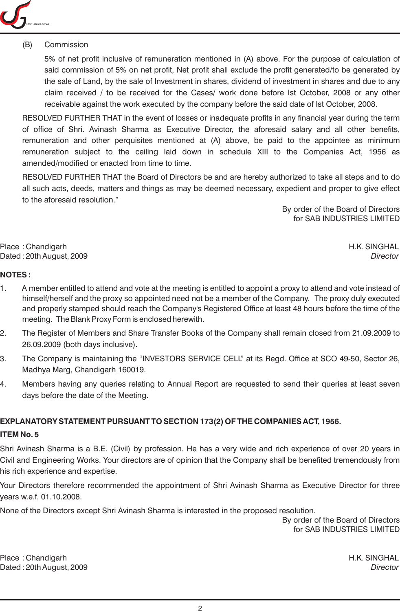

### (B) Commission

5% of net profit inclusive of remuneration mentioned in (A) above. For the purpose of calculation of said commission of 5% on net profit, Net profit shall exclude the profit generated/to be generated by the sale of Land, by the sale of Investment in shares, dividend of investment in shares and due to any claim received / to be received for the Cases/ work done before Ist October, 2008 or any other receivable against the work executed by the company before the said date of Ist October, 2008.

RESOLVED FURTHER THAT in the event of losses or inadequate profits in any financial year during the term of office of Shri. Avinash Sharma as Executive Director, the aforesaid salary and all other benefits, remuneration and other perquisites mentioned at (A) above, be paid to the appointee as minimum remuneration subject to the ceiling laid down in schedule XIII to the Companies Act, 1956 as amended/modified or enacted from time to time.

RESOLVED FURTHER THAT the Board of Directors be and are hereby authorized to take all steps and to do all such acts, deeds, matters and things as may be deemed necessary, expedient and proper to give effect to the aforesaid resolution."

> By order of the Board of Directors for SAB INDUSTRIES LIMITED

Place : Chandigarh H.K. SINGHAL Dated : 20th August, 2009 *Director*

### **NOTES :**

- 1. A member entitled to attend and vote at the meeting is entitled to appoint a proxy to attend and vote instead of himself/herself and the proxy so appointed need not be a member of the Company. The proxy duly executed and properly stamped should reach the Company's Registered Office at least 48 hours before the time of the meeting. The Blank Proxy Form is enclosed herewith.
- 2. The Register of Members and Share Transfer Books of the Company shall remain closed from 21.09.2009 to 26.09.2009 (both days inclusive).
- 3. The Company is maintaining the "INVESTORS SERVICE CELL" at its Regd. Office at SCO 49-50, Sector 26, Madhya Marg, Chandigarh 160019.
- 4. Members having any queries relating to Annual Report are requested to send their queries at least seven days before the date of the Meeting.

### **EXPLANATORY STATEMENT PURSUANT TO SECTION 173(2) OF THE COMPANIES ACT, 1956.**

### **ITEM No. 5**

Shri Avinash Sharma is a B.E. (Civil) by profession. He has a very wide and rich experience of over 20 years in Civil and Engineering Works. Your directors are of opinion that the Company shall be benefited tremendously from his rich experience and expertise.

Your Directors therefore recommended the appointment of Shri Avinash Sharma as Executive Director for three years w.e.f. 01.10.2008.

None of the Directors except Shri Avinash Sharma is interested in the proposed resolution.

By order of the Board of Directors for SAB INDUSTRIES LIMITED

Place : Chandigarh H.K. SINGHAL Dated : 20th August, 2009 *Director*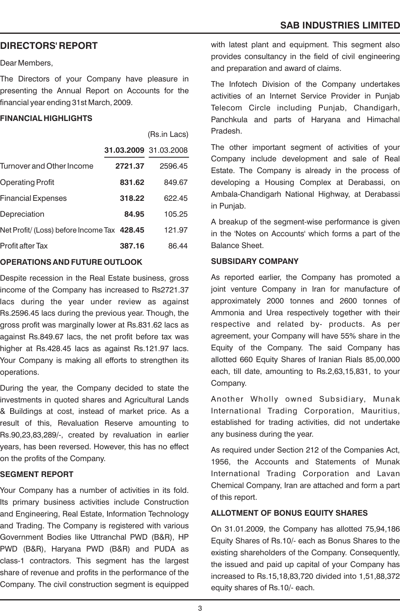# **DIRECTORS' REPORT**

Dear Members,

The Directors of your Company have pleasure in presenting the Annual Report on Accounts for the financial year ending 31st March, 2009.

### **FINANCIAL HIGHLIGHTS**

|                                             |                       | (Rs.in Lacs) |
|---------------------------------------------|-----------------------|--------------|
|                                             | 31.03.2009 31.03.2008 |              |
| Turnover and Other Income                   | 2721.37               | 2596.45      |
| Operating Profit                            | 831.62                | 849.67       |
| <b>Financial Expenses</b>                   | 318.22                | 622.45       |
| Depreciation                                | 84.95                 | 105.25       |
| Net Profit/ (Loss) before Income Tax 428.45 |                       | 121.97       |
| Profit after Tax                            | 387.16                | 86.44        |
|                                             |                       |              |

### **OPERATIONS AND FUTURE OUTLOOK**

Despite recession in the Real Estate business, gross income of the Company has increased to Rs2721.37 lacs during the year under review as against Rs.2596.45 lacs during the previous year. Though, the gross profit was marginally lower at Rs.831.62 lacs as against Rs.849.67 lacs, the net profit before tax was higher at Rs.428.45 lacs as against Rs.121.97 lacs. Your Company is making all efforts to strengthen its operations.

During the year, the Company decided to state the investments in quoted shares and Agricultural Lands & Buildings at cost, instead of market price. As a result of this, Revaluation Reserve amounting to Rs.90,23,83,289/-, created by revaluation in earlier years, has been reversed. However, this has no effect on the profits of the Company.

### **SEGMENT REPORT**

Your Company has a number of activities in its fold. Its primary business activities include Construction and Engineering, Real Estate, Information Technology and Trading. The Company is registered with various Government Bodies like Uttranchal PWD (B&R), HP PWD (B&R), Haryana PWD (B&R) and PUDA as class-1 contractors. This segment has the largest share of revenue and profits in the performance of the Company. The civil construction segment is equipped with latest plant and equipment. This segment also provides consultancy in the field of civil engineering and preparation and award of claims.

The Infotech Division of the Company undertakes activities of an Internet Service Provider in Punjab Telecom Circle including Punjab, Chandigarh, Panchkula and parts of Haryana and Himachal Pradesh.

The other important segment of activities of your Company include development and sale of Real Estate. The Company is already in the process of developing a Housing Complex at Derabassi, on Ambala-Chandigarh National Highway, at Derabassi in Punjab.

A breakup of the segment-wise performance is given in the 'Notes on Accounts' which forms a part of the Balance Sheet.

### **SUBSIDARY COMPANY**

As reported earlier, the Company has promoted a joint venture Company in Iran for manufacture of approximately 2000 tonnes and 2600 tonnes of Ammonia and Urea respectively together with their respective and related by- products. As per agreement, your Company will have 55% share in the Equity of the Company. The said Company has allotted 660 Equity Shares of Iranian Rials 85,00,000 each, till date, amounting to Rs.2,63,15,831, to your Company.

Another Wholly owned Subsidiary, Munak International Trading Corporation, Mauritius, established for trading activities, did not undertake any business during the year.

As required under Section 212 of the Companies Act, 1956, the Accounts and Statements of Munak International Trading Corporation and Lavan Chemical Company, Iran are attached and form a part of this report.

### **ALLOTMENT OF BONUS EQUITY SHARES**

On 31.01.2009, the Company has allotted 75,94,186 Equity Shares of Rs.10/- each as Bonus Shares to the existing shareholders of the Company. Consequently, the issued and paid up capital of your Company has increased to Rs.15,18,83,720 divided into 1,51,88,372 equity shares of Rs.10/- each.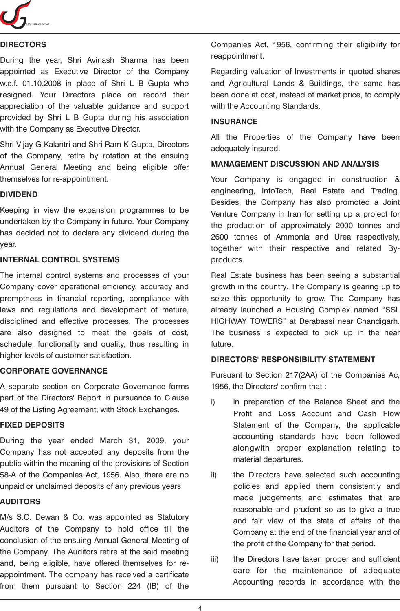

### **DIRECTORS**

During the year, Shri Avinash Sharma has been appointed as Executive Director of the Company w.e.f. 01.10.2008 in place of Shri L B Gupta who resigned. Your Directors place on record their appreciation of the valuable guidance and support provided by Shri L B Gupta during his association with the Company as Executive Director.

Shri Vijay G Kalantri and Shri Ram K Gupta, Directors of the Company, retire by rotation at the ensuing Annual General Meeting and being eligible offer themselves for re-appointment.

### **DIVIDEND**

Keeping in view the expansion programmes to be undertaken by the Company in future. Your Company has decided not to declare any dividend during the year.

### **INTERNAL CONTROL SYSTEMS**

The internal control systems and processes of your Company cover operational efficiency, accuracy and promptness in financial reporting, compliance with laws and regulations and development of mature, disciplined and effective processes. The processes are also designed to meet the goals of cost, schedule, functionality and quality, thus resulting in higher levels of customer satisfaction.

### **CORPORATE GOVERNANCE**

A separate section on Corporate Governance forms part of the Directors' Report in pursuance to Clause 49 of the Listing Agreement, with Stock Exchanges.

### **FIXED DEPOSITS**

During the year ended March 31, 2009, your Company has not accepted any deposits from the public within the meaning of the provisions of Section 58-A of the Companies Act, 1956. Also, there are no unpaid or unclaimed deposits of any previous years.

### **AUDITORS**

M/s S.C. Dewan & Co. was appointed as Statutory Auditors of the Company to hold office till the conclusion of the ensuing Annual General Meeting of the Company. The Auditors retire at the said meeting and, being eligible, have offered themselves for reappointment. The company has received a certificate from them pursuant to Section 224 (IB) of the Companies Act, 1956, confirming their eligibility for reappointment.

Regarding valuation of Investments in quoted shares and Agricultural Lands & Buildings, the same has been done at cost, instead of market price, to comply with the Accounting Standards.

### **INSURANCE**

All the Properties of the Company have been adequately insured.

### **MANAGEMENT DISCUSSION AND ANALYSIS**

Your Company is engaged in construction & engineering, InfoTech, Real Estate and Trading. Besides, the Company has also promoted a Joint Venture Company in Iran for setting up a project for the production of approximately 2000 tonnes and 2600 tonnes of Ammonia and Urea respectively, together with their respective and related Byproducts.

Real Estate business has been seeing a substantial growth in the country. The Company is gearing up to seize this opportunity to grow. The Company has already launched a Housing Complex named "SSL HIGHWAY TOWERS" at Derabassi near Chandigarh. The business is expected to pick up in the near future.

### **DIRECTORS' RESPONSIBILITY STATEMENT**

Pursuant to Section 217(2AA) of the Companies Ac, 1956, the Directors' confirm that :

- i) in preparation of the Balance Sheet and the Profit and Loss Account and Cash Flow Statement of the Company, the applicable accounting standards have been followed alongwith proper explanation relating to material departures.
- ii) the Directors have selected such accounting policies and applied them consistently and made judgements and estimates that are reasonable and prudent so as to give a true and fair view of the state of affairs of the Company at the end of the financial year and of the profit of the Company for that period.
- iii) the Directors have taken proper and sufficient care for the maintenance of adequate Accounting records in accordance with the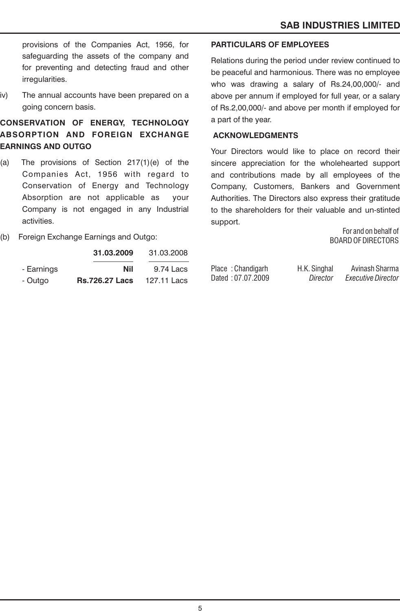provisions of the Companies Act, 1956, for safeguarding the assets of the company and for preventing and detecting fraud and other irregularities.

iv) The annual accounts have been prepared on a going concern basis.

# **CONSERVATION OF ENERGY, TECHNOLOGY ABSORPTION AND FOREIGN EXCHANGE EARNINGS AND OUTGO**

- (a) The provisions of Section 217(1)(e) of the Companies Act, 1956 with regard to Conservation of Energy and Technology Absorption are not applicable as your Company is not engaged in any Industrial activities.
- (b) Foreign Exchange Earnings and Outgo:

|            | 31.03.2009            | 31.03.2008  |
|------------|-----------------------|-------------|
| - Earnings | Nil                   | 9.74 Lacs   |
| - Outgo    | <b>Rs.726.27 Lacs</b> | 127.11 Lacs |

### **PARTICULARS OF EMPLOYEES**

Relations during the period under review continued to be peaceful and harmonious. There was no employee who was drawing a salary of Rs.24,00,000/- and above per annum if employed for full year, or a salary of Rs.2,00,000/- and above per month if employed for a part of the year.

### **ACKNOWLEDGMENTS**

Your Directors would like to place on record their sincere appreciation for the wholehearted support and contributions made by all employees of the Company, Customers, Bankers and Government Authorities. The Directors also express their gratitude to the shareholders for their valuable and un-stinted support.

> For and on behalf of BOARD OF DIRECTORS

Place : Chandigarh H.K. Singhal Avinash Sharma<br>Director Executive Director Dated : 07.07.2009 *Director Executive Director*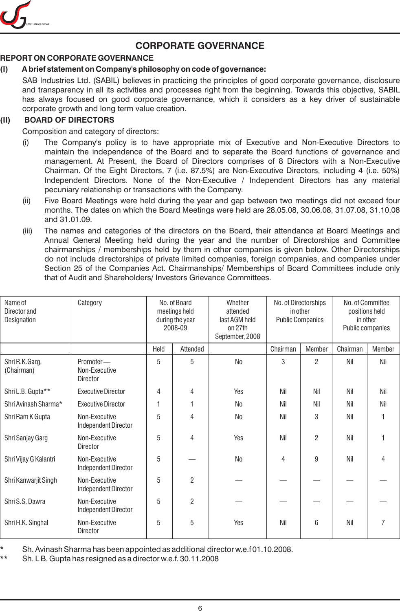

# **CORPORATE GOVERNANCE**

# **REPORT ON CORPORATE GOVERNANCE**

# **(I) A brief statement on Company's philosophy on code of governance:**

SAB Industries Ltd. (SABIL) believes in practicing the principles of good corporate governance, disclosure and transparency in all its activities and processes right from the beginning. Towards this objective, SABIL has always focused on good corporate governance, which it considers as a key driver of sustainable corporate growth and long term value creation.

# **(II) BOARD OF DIRECTORS**

Composition and category of directors:

- (i) The Company's policy is to have appropriate mix of Executive and Non-Executive Directors to maintain the independence of the Board and to separate the Board functions of governance and management. At Present, the Board of Directors comprises of 8 Directors with a Non-Executive Chairman. Of the Eight Directors, 7 (i.e. 87.5%) are Non-Executive Directors, including 4 (i.e. 50%) Independent Directors. None of the Non-Executive / Independent Directors has any material pecuniary relationship or transactions with the Company.
- (ii) Five Board Meetings were held during the year and gap between two meetings did not exceed four months. The dates on which the Board Meetings were held are 28.05.08, 30.06.08, 31.07.08, 31.10.08 and 31.01.09.
- (iii) The names and categories of the directors on the Board, their attendance at Board Meetings and Annual General Meeting held during the year and the number of Directorships and Committee chairmanships / memberships held by them in other companies is given below. Other Directorships do not include directorships of private limited companies, foreign companies, and companies under Section 25 of the Companies Act. Chairmanships/ Memberships of Board Committees include only that of Audit and Shareholders/ Investors Grievance Committees.

| Name of<br>Director and<br>Designation | Category                                      |      | No. of Board<br>meetings held<br>during the year<br>2008-09 | Whether<br>attended<br>last AGM held<br>on 27th<br>September, 2008 | No. of Directorships<br>in other<br><b>Public Companies</b> |                | No. of Committee<br>positions held<br>in other<br>Public companies |        |
|----------------------------------------|-----------------------------------------------|------|-------------------------------------------------------------|--------------------------------------------------------------------|-------------------------------------------------------------|----------------|--------------------------------------------------------------------|--------|
|                                        |                                               | Held | Attended                                                    |                                                                    | Chairman                                                    | Member         | Chairman                                                           | Member |
| Shri R.K.Garg,<br>(Chairman)           | Promoter-<br>Non-Executive<br><b>Director</b> | 5    | 5                                                           | N <sub>0</sub>                                                     | 3                                                           | $\overline{2}$ | Nil                                                                | Nil    |
| Shri L.B. Gupta**                      | <b>Executive Director</b>                     | 4    | 4                                                           | Yes                                                                | Nil                                                         | Nil            | Nil                                                                | Nil    |
| Shri Avinash Sharma*                   | <b>Executive Director</b>                     | 1    |                                                             | No                                                                 | Nil                                                         | Nil            | Nil                                                                | Nil    |
| Shri Ram K Gupta                       | Non-Executive<br>Independent Director         | 5    | 4                                                           | N <sub>0</sub>                                                     | Nil                                                         | 3              | Nil                                                                |        |
| Shri Sanjay Garg                       | Non-Executive<br><b>Director</b>              | 5    | 4                                                           | Yes                                                                | Nil                                                         | $\overline{2}$ | Nil                                                                |        |
| Shri Vijay G Kalantri                  | Non-Executive<br>Independent Director         | 5    |                                                             | No                                                                 | 4                                                           | 9              | Nil                                                                | 4      |
| Shri Kanwarjit Singh                   | Non-Executive<br>Independent Director         | 5    | $\overline{2}$                                              |                                                                    |                                                             |                |                                                                    |        |
| Shri S.S. Dawra                        | Non-Executive<br>Independent Director         | 5    | $\overline{2}$                                              |                                                                    |                                                             |                |                                                                    |        |
| Shri H.K. Singhal                      | Non-Executive<br><b>Director</b>              | 5    | 5                                                           | Yes                                                                | Nil                                                         | 6              | Nil                                                                |        |

Sh. Avinash Sharma has been appointed as additional director w.e.f 01.10.2008.

\*\* Sh. L B. Gupta has resigned as a director w.e.f. 30.11.2008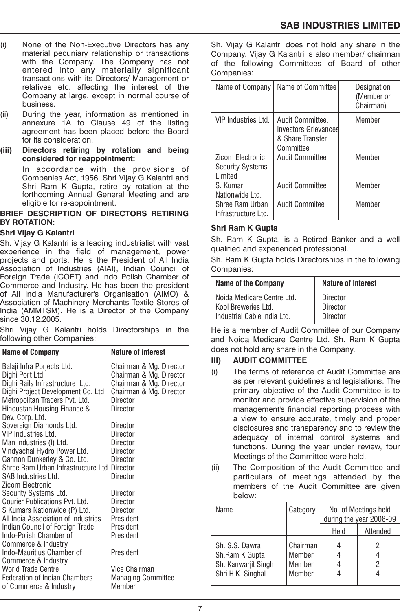- (i) None of the Non-Executive Directors has any material pecuniary relationship or transactions with the Company. The Company has not entered into any materially significant transactions with its Directors/ Management or relatives etc. affecting the interest of the Company at large, except in normal course of business.
- (ii) During the year, information as mentioned in annexure 1A to Clause 49 of the listing agreement has been placed before the Board for its consideration.
- **(iii) Directors retiring by rotation and being considered for reappointment:**

In accordance with the provisions of Companies Act, 1956, Shri Vijay G Kalantri and Shri Ram K Gupta, retire by rotation at the forthcoming Annual General Meeting and are eligible for re-appointment.

### **BRIEF DESCRIPTION OF DIRECTORS RETIRING BY ROTATION:**

### **Shri Vijay G Kalantri**

Sh. Vijay G Kalantri is a leading industrialist with vast experience in the field of management, power projects and ports. He is the President of All India Association of Industries (AIAI), Indian Council of Foreign Trade (ICOFT) and Indo Polish Chamber of Commerce and Industry. He has been the president of All India Manufacturer's Organisation (AIMO) & Association of Machinery Merchants Textile Stores of India (AMMTSM). He is a Director of the Company since 30.12.2005.

Shri Vijay G Kalantri holds Directorships in the following other Companies:

| <b>Name of Company</b>                       | <b>Nature of interest</b> |
|----------------------------------------------|---------------------------|
| Balaji Infra Porjects Ltd.                   | Chairman & Mg. Director   |
| Dighi Port Ltd.                              | Chairman & Mg. Director   |
| Dighi Rails Infrastructure Ltd.              | Chairman & Mg. Director   |
| Dighi Project Development Co. Ltd.           | Chairman & Mg. Director   |
| Metropolitan Traders Pvt. Ltd.               | Director                  |
| Hindustan Housing Finance &                  | Director                  |
| Dev. Corp. Ltd.                              |                           |
| Sovereign Diamonds Ltd.                      | Director                  |
| VIP Industries Ltd.                          | Director                  |
| Man Industries (I) Ltd.                      | Director                  |
| Vindyachal Hydro Power Ltd.                  | Director                  |
| Gannon Dunkerley & Co. Ltd.                  | Director                  |
| Shree Ram Urban Infrastructure Ltd. Director |                           |
| SAB Industries Ltd.                          | Director                  |
| Zicom Electronic                             |                           |
| Security Systems Ltd.                        | Director                  |
| Courier Publications Pvt. Ltd.               | Director                  |
| S Kumars Nationwide (P) Ltd.                 | Director                  |
| All India Association of Industries          | President                 |
| Indian Council of Foreign Trade              | President                 |
| Indo-Polish Chamber of                       | President                 |
| Commerce & Industry                          |                           |
| Indo-Mauritius Chamber of                    | President                 |
| Commerce & Industry                          |                           |
| <b>World Trade Centre</b>                    | Vice Chairman             |
| <b>Federation of Indian Chambers</b>         | <b>Managing Committee</b> |
| of Commerce & Industry                       | Member                    |

Sh. Vijay G Kalantri does not hold any share in the Company. Vijay G Kalantri is also member/ chairman of the following Committees of Board of other Companies:

| Name of Company                                           | Name of Committee                                                                | Designation<br>(Member or<br>Chairman) |
|-----------------------------------------------------------|----------------------------------------------------------------------------------|----------------------------------------|
| VIP Industries Ltd.                                       | Audit Committee,<br><b>Investors Grievances</b><br>& Share Transfer<br>Committee | Member                                 |
| Zicom Electronic<br><b>Security Systems</b><br>Limited    | Audit Committee                                                                  | Member                                 |
| S. Kumar                                                  | Audit Committee                                                                  | Member                                 |
| Nationwide Ltd.<br>Shree Ram Urban<br>Infrastructure Ltd. | Audit Commitee                                                                   | Member                                 |

### **Shri Ram K Gupta**

Sh. Ram K Gupta, is a Retired Banker and a well qualified and experienced professional.

Sh. Ram K Gupta holds Directorships in the following Companies:

| <b>Name of the Company</b>                        | <b>Nature of Interest</b>   |  |
|---------------------------------------------------|-----------------------------|--|
| Noida Medicare Centre Ltd.<br>Kool Breweries Ltd. | Director<br><b>Director</b> |  |
| Industrial Cable India Ltd.                       | <b>Director</b>             |  |

He is a member of Audit Committee of our Company and Noida Medicare Centre Ltd. Sh. Ram K Gupta does not hold any share in the Company.

### **III) AUDIT COMMITTEE**

- (i) The terms of reference of Audit Committee are as per relevant guidelines and legislations. The primary objective of the Audit Committee is to monitor and provide effective supervision of the management's financial reporting process with a view to ensure accurate, timely and proper disclosures and transparency and to review the adequacy of internal control systems and functions. During the year under review, four Meetings of the Committee were held.
- (ii) The Composition of the Audit Committee and particulars of meetings attended by the members of the Audit Committee are given below:

| Name                                                                         | Category                               | No. of Meetings held<br>during the year 2008-09 |          |
|------------------------------------------------------------------------------|----------------------------------------|-------------------------------------------------|----------|
|                                                                              |                                        | Held                                            | Attended |
| Sh. S.S. Dawra<br>Sh.Ram K Gupta<br>Sh. Kanwarjit Singh<br>Shri H.K. Singhal | Chairman<br>Member<br>Member<br>Member |                                                 | 2<br>2   |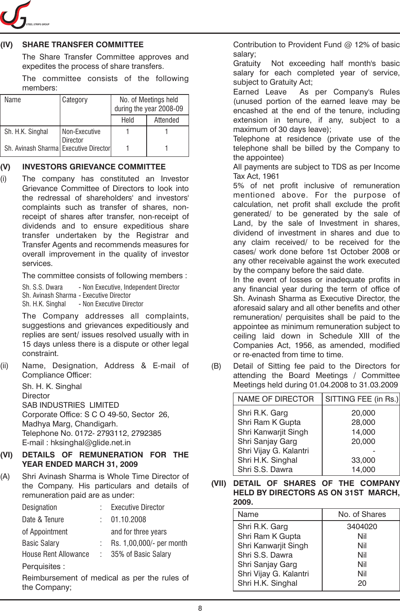

### **(IV) SHARE TRANSFER COMMITTEE**

The Share Transfer Committee approves and expedites the process of share transfers.

The committee consists of the following members:

| Name                                  | Category        | No. of Meetings held<br>during the year 2008-09 |          |
|---------------------------------------|-----------------|-------------------------------------------------|----------|
|                                       |                 | Held                                            | Attended |
| Sh. H.K. Singhal                      | Non-Executive   |                                                 |          |
| Sh. Avinash Sharma Executive Director | <b>Director</b> |                                                 |          |

### **(V) INVESTORS GRIEVANCE COMMITTEE**

(i) The company has constituted an Investor Grievance Committee of Directors to look into the redressal of shareholders' and investors' complaints such as transfer of shares, nonreceipt of shares after transfer, non-receipt of dividends and to ensure expeditious share transfer undertaken by the Registrar and Transfer Agents and recommends measures for overall improvement in the quality of investor services.

The committee consists of following members :

Sh. S.S. Dwara - Non Executive, Independent Director Sh. Avinash Sharma - Executive Director Sh. H.K. Singhal - Non Executive Director

The Company addresses all complaints, suggestions and grievances expeditiously and replies are sent/ issues resolved usually with in 15 days unless there is a dispute or other legal constraint.

(ii) Name, Designation, Address & E-mail of Compliance Officer:

> Sh. H. K. Singhal **Director** SAB INDUSTRIES LIMITED Corporate Office: S C O 49-50, Sector 26, Madhya Marg, Chandigarh. Telephone No. 0172- 2793112, 2792385 E-mail : hksinghal@glide.net.in

### **(VI) DETAILS OF REMUNERATION FOR THE YEAR ENDED MARCH 31, 2009**

(A) Shri Avinash Sharma is Whole Time Director of the Company. His particulars and details of remuneration paid are as under: Designation : Executive Director Date & Tenure : 01.10.2008 of Appointment and for three years Basic Salary : Rs. 1,00,000/- per month House Rent Allowance : 35% of Basic Salary Perquisites : Reimbursement of medical as per the rules of

the Company;

Contribution to Provident Fund @ 12% of basic salary;

Gratuity Not exceeding half month's basic salary for each completed year of service, subject to Gratuity Act;

Earned Leave As per Company's Rules (unused portion of the earned leave may be encashed at the end of the tenure, including extension in tenure, if any, subject to a maximum of 30 days leave);

Telephone at residence (private use of the telephone shall be billed by the Company to the appointee)

All payments are subject to TDS as per Income Tax Act, 1961

5% of net profit inclusive of remuneration mentioned above. For the purpose of calculation, net profit shall exclude the profit generated/ to be generated by the sale of Land, by the sale of Investment in shares, dividend of investment in shares and due to any claim received/ to be received for the cases/ work done before 1st October 2008 or any other receivable against the work executed by the company before the said date.

In the event of losses or inadequate profits in any financial year during the term of office of Sh. Avinash Sharma as Executive Director, the aforesaid salary and all other benefits and other remuneration/ perquisites shall be paid to the appointee as minimum remuneration subject to ceiling laid down in Schedule XIII of the Companies Act, 1956, as amended, modified or re-enacted from time to time.

(B) Detail of Sitting fee paid to the Directors for attending the Board Meetings / Committee Meetings held during 01.04.2008 to 31.03.2009

| <b>NAME OF DIRECTOR</b> | SITTING FEE (in Rs.) |
|-------------------------|----------------------|
| Shri R.K. Garg          | 20,000               |
| Shri Ram K Gupta        | 28,000               |
| Shri Kanwarjit Singh    | 14,000               |
| Shri Sanjay Garg        | 20,000               |
| Shri Vijay G. Kalantri  |                      |
| Shri H.K. Singhal       | 33,000               |
| Shri S.S. Dawra         | 14,000               |
|                         |                      |

**(VII) DETAIL OF SHARES OF THE COMPANY HELD BY DIRECTORS AS ON 31ST MARCH, 2009.**

| Name                   | No. of Shares |
|------------------------|---------------|
| Shri R.K. Garg         | 3404020       |
| Shri Ram K Gupta       | Nil           |
| Shri Kanwarjit Singh   | Nil           |
| Shri S.S. Dawra        | Nil           |
| Shri Sanjay Garg       | Nil           |
| Shri Vijay G. Kalantri | Nil           |
| Shri H.K. Singhal      | 20            |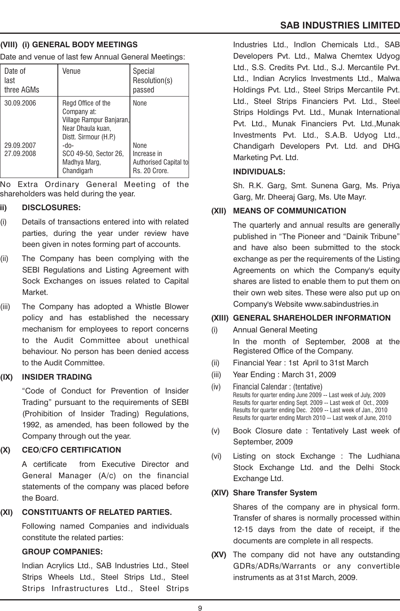### **(VIII) (i) GENERAL BODY MEETINGS**

Date and venue of last few Annual General Meetings:

| Date of<br>last<br>three AGMs | Venue                                                                                                       | Special<br>Resolution(s)<br>passed                                   |
|-------------------------------|-------------------------------------------------------------------------------------------------------------|----------------------------------------------------------------------|
| 30.09.2006                    | Regd Office of the<br>Company at:<br>Village Rampur Banjaran,<br>Near Dhaula kuan,<br>Distt. Sirmour (H.P.) | None                                                                 |
| 29.09.2007<br>27.09.2008      | -do-<br>SCO 49-50, Sector 26,<br>Madhya Marg,<br>Chandigarh                                                 | <b>None</b><br>Increase in<br>Authorised Capital to<br>Rs. 20 Crore. |

No Extra Ordinary General Meeting of the shareholders was held during the year.

### **ii) DISCLOSURES:**

- (i) Details of transactions entered into with related parties, during the year under review have been given in notes forming part of accounts.
- (ii) The Company has been complying with the SEBI Regulations and Listing Agreement with Sock Exchanges on issues related to Capital Market.
- (iii) The Company has adopted a Whistle Blower policy and has established the necessary mechanism for employees to report concerns to the Audit Committee about unethical behaviour. No person has been denied access to the Audit Committee.

### **(IX) INSIDER TRADING**

"Code of Conduct for Prevention of Insider Trading" pursuant to the requirements of SEBI (Prohibition of Insider Trading) Regulations, 1992, as amended, has been followed by the Company through out the year.

### **(X) CEO/CFO CERTIFICATION**

A certificate from Executive Director and General Manager (A/c) on the financial statements of the company was placed before the Board.

## **(XI) CONSTITUANTS OF RELATED PARTIES.**

Following named Companies and individuals constitute the related parties:

## **GROUP COMPANIES:**

Indian Acrylics Ltd., SAB Industries Ltd., Steel Strips Wheels Ltd., Steel Strips Ltd., Steel Strips Infrastructures Ltd., Steel Strips

Industries Ltd., Indlon Chemicals Ltd., SAB Developers Pvt. Ltd., Malwa Chemtex Udyog Ltd., S.S. Credits Pvt. Ltd., S.J. Mercantile Pvt. Ltd., Indian Acrylics Investments Ltd., Malwa Holdings Pvt. Ltd., Steel Strips Mercantile Pvt. Ltd., Steel Strips Financiers Pvt. Ltd., Steel Strips Holdings Pvt. Ltd., Munak International Pvt. Ltd., Munak Financiers Pvt. Ltd.,Munak Investments Pvt. Ltd., S.A.B. Udyog Ltd., Chandigarh Developers Pvt. Ltd. and DHG Marketing Pvt. Ltd.

## **INDIVIDUALS:**

Sh. R.K. Garg, Smt. Sunena Garg, Ms. Priya Garg, Mr. Dheeraj Garg, Ms. Ute Mayr.

# **(XII) MEANS OF COMMUNICATION**

The quarterly and annual results are generally published in "The Pioneer and "Dainik Tribune" and have also been submitted to the stock exchange as per the requirements of the Listing Agreements on which the Company's equity shares are listed to enable them to put them on their own web sites. These were also put up on Company's Website www.sabindustries.in

## **(XIII) GENERAL SHAREHOLDER INFORMATION**

- (i) Annual General Meeting
	- In the month of September, 2008 at the Registered Office of the Company.
- (ii) Financial Year : 1st April to 31st March
- (iii) Year Ending : March 31, 2009
- (iv) Financial Calendar : (tentative) Results for quarter ending June 2009 -- Last week of July, 2009 Results for quarter ending Sept. 2009 -- Last week of Oct., 2009 Results for quarter ending Dec. 2009 -- Last week of Jan., 2010 Results for quarter ending March 2010 -- Last week of June, 2010
- (v) Book Closure date : Tentatively Last week of September, 2009
- (vi) Listing on stock Exchange : The Ludhiana Stock Exchange Ltd. and the Delhi Stock Exchange Ltd.

# **(XIV) Share Transfer System**

Shares of the company are in physical form. Transfer of shares is normally processed within 12-15 days from the date of receipt, if the documents are complete in all respects.

**(XV)** The company did not have any outstanding GDRs/ADRs/Warrants or any convertible instruments as at 31st March, 2009.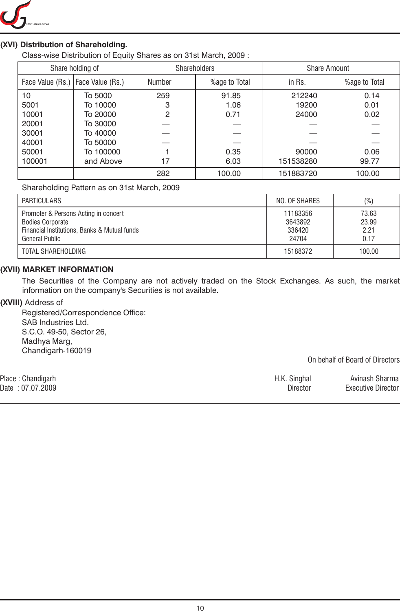

### **(XVI) Distribution of Shareholding.**

Class-wise Distribution of Equity Shares as on 31st March, 2009 :

| Share holding of |                  | <b>Shareholders</b> |               | <b>Share Amount</b> |               |  |  |
|------------------|------------------|---------------------|---------------|---------------------|---------------|--|--|
| Face Value (Rs.) | Face Value (Rs.) | Number              | %age to Total | in Rs.              | %age to Total |  |  |
| 10               | To 5000          | 259                 | 91.85         | 212240              | 0.14          |  |  |
| 5001             | To 10000         | 3                   | 1.06          | 19200               | 0.01          |  |  |
| 10001            | To 20000         | 2                   | 0.71          | 24000               | 0.02          |  |  |
| 20001            | To 30000         |                     |               |                     |               |  |  |
| 30001            | To 40000         |                     |               |                     |               |  |  |
| 40001            | To 50000         |                     |               |                     |               |  |  |
| 50001            | To 100000        |                     | 0.35          | 90000               | 0.06          |  |  |
| 100001           | and Above        | 17                  | 6.03          | 151538280           | 99.77         |  |  |
|                  |                  | 282                 | 100.00        | 151883720           | 100.00        |  |  |

### Shareholding Pattern as on 31st March, 2009

| PARTICULARS                                                                                                                              | NO. OF SHARES                          | (%)                            |
|------------------------------------------------------------------------------------------------------------------------------------------|----------------------------------------|--------------------------------|
| Promoter & Persons Acting in concert<br><b>Bodies Corporate</b><br>Financial Institutions, Banks & Mutual funds<br><b>General Public</b> | 11183356<br>3643892<br>336420<br>24704 | 73.63<br>23.99<br>2.21<br>0.17 |
| TOTAL SHAREHOLDING                                                                                                                       | 15188372                               | 100.00                         |

### **(XVII) MARKET INFORMATION**

The Securities of the Company are not actively traded on the Stock Exchanges. As such, the market information on the company's Securities is not available.

### **(XVIII)** Address of

Registered/Correspondence Office: SAB Industries Ltd. S.C.O. 49-50, Sector 26, Madhya Marg, Chandigarh-160019

On behalf of Board of Directors

| Place : Chandigarh | H.K. Singhal | Avinash Sharma            |
|--------------------|--------------|---------------------------|
| Date : 07.07.2009  | Director     | <b>Executive Director</b> |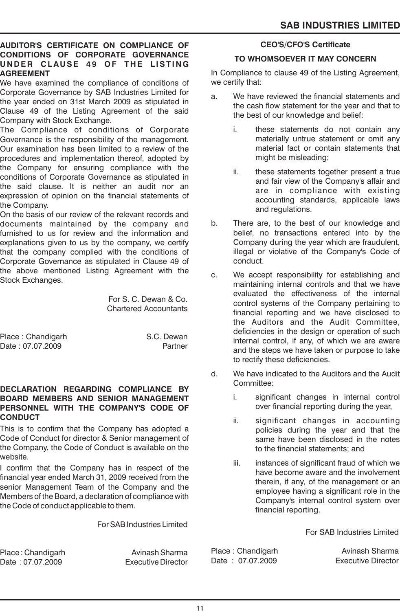### **AUDITOR'S CERTIFICATE ON COMPLIANCE OF CONDITIONS OF CORPORATE GOVERNANCE U N D E R CLAU SE 4 9 OF T H E L IST I N G AGREEMENT**

We have examined the compliance of conditions of Corporate Governance by SAB Industries Limited for the year ended on 31st March 2009 as stipulated in Clause 49 of the Listing Agreement of the said Company with Stock Exchange.

The Compliance of conditions of Corporate Governance is the responsibility of the management. Our examination has been limited to a review of the procedures and implementation thereof, adopted by the Company for ensuring compliance with the conditions of Corporate Governance as stipulated in the said clause. It is neither an audit nor an expression of opinion on the financial statements of the Company.

On the basis of our review of the relevant records and documents maintained by the company and furnished to us for review and the information and explanations given to us by the company, we certify that the company complied with the conditions of Corporate Governance as stipulated in Clause 49 of the above mentioned Listing Agreement with the Stock Exchanges.

> For S. C. Dewan & Co. Chartered Accountants

Place : Chandigarh S.C. Dewan Date : 07.07.2009 Partner

### **DECLARATION REGARDING COMPLIANCE BY BOARD MEMBERS AND SENIOR MANAGEMENT PERSONNEL WITH THE COMPANY'S CODE OF CONDUCT**

This is to confirm that the Company has adopted a Code of Conduct for director & Senior management of the Company, the Code of Conduct is available on the website.

I confirm that the Company has in respect of the financial year ended March 31, 2009 received from the senior Management Team of the Company and the Members of the Board, a declaration of compliance with the Code of conduct applicable to them.

For SAB Industries Limited

Place : Chandigarh Avinash Sharma Date : 07.07.2009 Executive Director

### **CEO'S/CFO'S Certificate**

### **TO WHOMSOEVER IT MAY CONCERN**

In Compliance to clause 49 of the Listing Agreement, we certify that:

- a. We have reviewed the financial statements and the cash flow statement for the year and that to the best of our knowledge and belief:
	- i. these statements do not contain any materially untrue statement or omit any material fact or contain statements that might be misleading;
	- ii. these statements together present a true and fair view of the Company's affair and are in compliance with existing accounting standards, applicable laws and regulations.
- b. There are, to the best of our knowledge and belief, no transactions entered into by the Company during the year which are fraudulent, illegal or violative of the Company's Code of conduct.
- c. We accept responsibility for establishing and maintaining internal controls and that we have evaluated the effectiveness of the internal control systems of the Company pertaining to financial reporting and we have disclosed to the Auditors and the Audit Committee, deficiencies in the design or operation of such internal control, if any, of which we are aware and the steps we have taken or purpose to take to rectify these deficiencies.
- d. We have indicated to the Auditors and the Audit Committee:
	- i. significant changes in internal control over financial reporting during the year,
	- ii. significant changes in accounting policies during the year and that the same have been disclosed in the notes to the financial statements; and
	- iii. instances of significant fraud of which we have become aware and the involvement therein, if any, of the management or an employee having a significant role in the Company's internal control system over financial reporting.

For SAB Industries Limited

Place : Chandigarh Avinash Sharma Date: 07.07.2009 Executive Director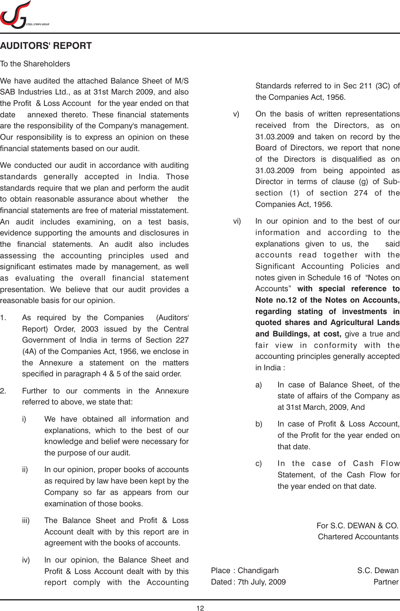

# **AUDITORS' REPORT**

### To the Shareholders

We have audited the attached Balance Sheet of M/S SAB Industries Ltd., as at 31st March 2009, and also the Profit & Loss Account for the year ended on that date annexed thereto. These financial statements are the responsibility of the Company's management. Our responsibility is to express an opinion on these financial statements based on our audit.

We conducted our audit in accordance with auditing standards generally accepted in India. Those standards require that we plan and perform the audit to obtain reasonable assurance about whether the financial statements are free of material misstatement. An audit includes examining, on a test basis, evidence supporting the amounts and disclosures in the financial statements. An audit also includes assessing the accounting principles used and significant estimates made by management, as well as evaluating the overall financial statement presentation. We believe that our audit provides a reasonable basis for our opinion.

- 1. As required by the Companies (Auditors' Report) Order, 2003 issued by the Central Government of India in terms of Section 227 (4A) of the Companies Act, 1956, we enclose in the Annexure a statement on the matters specified in paragraph 4 & 5 of the said order.
- 2. Further to our comments in the Annexure referred to above, we state that:
	- i) We have obtained all information and explanations, which to the best of our knowledge and belief were necessary for the purpose of our audit.
	- ii) In our opinion, proper books of accounts as required by law have been kept by the Company so far as appears from our examination of those books.
	- iii) The Balance Sheet and Profit & Loss Account dealt with by this report are in agreement with the books of accounts.
	- iv) In our opinion, the Balance Sheet and Profit & Loss Account dealt with by this report comply with the Accounting

Standards referred to in Sec 211 (3C) of the Companies Act, 1956.

- v) On the basis of written representations received from the Directors, as on 31.03.2009 and taken on record by the Board of Directors, we report that none of the Directors is disqualified as on 31.03.2009 from being appointed as Director in terms of clause (g) of Subsection (1) of section 274 of the Companies Act, 1956.
- vi) In our opinion and to the best of our information and according to the explanations given to us, the said accounts read together with the Significant Accounting Policies and notes given in Schedule 16 of "Notes on Accounts" **with special reference to Note no.12 of the Notes on Accounts, regarding stating of investments in quoted shares and Agricultural Lands and Buildings, at cost,** give a true and fair view in conformity with the accounting principles generally accepted in India :
	- a) In case of Balance Sheet, of the state of affairs of the Company as at 31st March, 2009, And
	- b) In case of Profit & Loss Account, of the Profit for the year ended on that date.
	- c) In the case of Cash Flow Statement, of the Cash Flow for the year ended on that date.

For S.C. DEWAN & CO. Chartered Accountants

Place : Chandigarh S.C. Dewan Dated : 7th July, 2009 **Partner**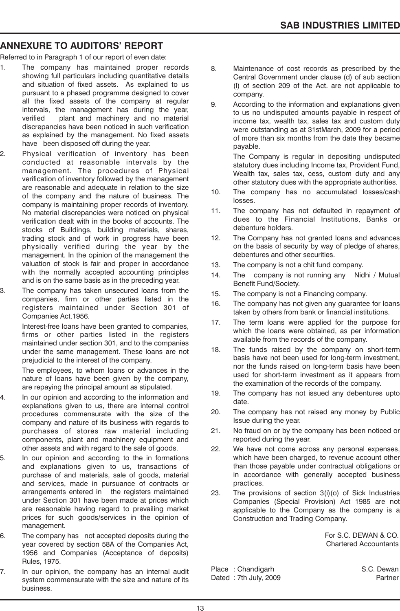# **ANNEXURE TO AUDITORS' REPORT**

Referred to in Paragraph 1 of our report of even date:

- 1. The company has maintained proper records showing full particulars including quantitative details and situation of fixed assets. As explained to us pursuant to a phased programme designed to cover all the fixed assets of the company at regular intervals, the management has during the year, verified plant and machinery and no material discrepancies have been noticed in such verification as explained by the management. No fixed assets have been disposed off during the year.
- 2. Physical verification of inventory has been conducted at reasonable intervals by the management. The procedures of Physical verification of inventory followed by the management are reasonable and adequate in relation to the size of the company and the nature of business. The company is maintaining proper records of inventory. No material discrepancies were noticed on physical verification dealt with in the books of accounts. The stocks of Buildings, building materials, shares, trading stock and of work in progress have been physically verified during the year by the management. In the opinion of the management the valuation of stock is fair and proper in accordance with the normally accepted accounting principles and is on the same basis as in the preceding year.
- The company has taken unsecured loans from the companies, firm or other parties listed in the registers maintained under Section 301 of Companies Act.1956.

Interest-free loans have been granted to companies, firms or other parties listed in the registers maintained under section 301, and to the companies under the same management. These loans are not prejudicial to the interest of the company.

The employees, to whom loans or advances in the nature of loans have been given by the company, are repaying the principal amount as stipulated.

- In our opinion and according to the information and explanations given to us, there are internal control procedures commensurate with the size of the company and nature of its business with regards to purchases of stores raw material including components, plant and machinery equipment and other assets and with regard to the sale of goods.
- 5. In our opinion and according to the in formations and explanations given to us, transactions of purchase of and materials, sale of goods, material and services, made in pursuance of contracts or arrangements entered in the registers maintained under Section 301 have been made at prices which are reasonable having regard to prevailing market prices for such goods/services in the opinion of management.
- 6. The company has not accepted deposits during the year covered by section 58A of the Companies Act, 1956 and Companies (Acceptance of deposits) Rules, 1975.
- 7. In our opinion, the company has an internal audit system commensurate with the size and nature of its business.
- 8. Maintenance of cost records as prescribed by the Central Government under clause (d) of sub section (I) of section 209 of the Act. are not applicable to company.
- 9. According to the information and explanations given to us no undisputed amounts payable in respect of income tax, wealth tax, sales tax and custom duty were outstanding as at 31stMarch, 2009 for a period of more than six months from the date they became payable.

The Company is regular in depositing undisputed statutory dues including Income tax, Provident Fund, Wealth tax, sales tax, cess, custom duty and any other statutory dues with the appropriate authorities.

- 10. The company has no accumulated losses/cash losses.
- 11. The company has not defaulted in repayment of dues to the Financial Institutions, Banks or debenture holders.
- 12. The Company has not granted loans and advances on the basis of security by way of pledge of shares, debentures and other securities.
- 13. The company is not a chit fund company.
- 14. The company is not running any Nidhi / Mutual Benefit Fund/Society.
- 15. The company is not a Financing company.
- 16. The company has not given any guarantee for loans taken by others from bank or financial institutions.
- 17. The term loans were applied for the purpose for which the loans were obtained, as per information available from the records of the company.
- 18. The funds raised by the company on short-term basis have not been used for long-term investment, nor the funds raised on long-term basis have been used for short-term investment as it appears from the examination of the records of the company.
- 19. The company has not issued any debentures upto date.
- 20. The company has not raised any money by Public Issue during the year.
- 21. No fraud on or by the company has been noticed or reported during the year.
- 22. We have not come across any personal expenses, which have been charged, to revenue account other than those payable under contractual obligations or in accordance with generally accepted business practices.
- 23. The provisions of section 3(i)(o) of Sick Industries Companies (Special Provision) Act 1985 are not applicable to the Company as the company is a Construction and Trading Company.

For S.C. DEWAN & CO. Chartered Accountants

Place: Chandigarh S.C. Dewan Dated : 7th July, 2009 **Partner**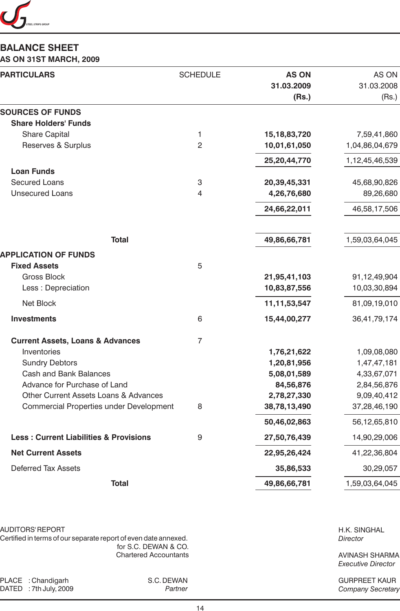

# **BALANCE SHEET**

### **AS ON 31ST MARCH, 2009**

| <b>PARTICULARS</b>                                | <b>SCHEDULE</b> | <b>AS ON</b><br>31.03.2009<br>(Rs.) | AS ON<br>31.03.2008<br>(Rs.) |
|---------------------------------------------------|-----------------|-------------------------------------|------------------------------|
| <b>SOURCES OF FUNDS</b>                           |                 |                                     |                              |
| <b>Share Holders' Funds</b>                       |                 |                                     |                              |
| <b>Share Capital</b>                              | 1               | 15, 18, 83, 720                     | 7,59,41,860                  |
| Reserves & Surplus                                | $\overline{2}$  | 10,01,61,050                        | 1,04,86,04,679               |
|                                                   |                 | 25,20,44,770                        | 1,12,45,46,539               |
| <b>Loan Funds</b>                                 |                 |                                     |                              |
| <b>Secured Loans</b>                              | 3               | 20,39,45,331                        | 45,68,90,826                 |
| <b>Unsecured Loans</b>                            | 4               | 4,26,76,680                         | 89,26,680                    |
|                                                   |                 | 24,66,22,011                        | 46,58,17,506                 |
| <b>Total</b>                                      |                 | 49,86,66,781                        | 1,59,03,64,045               |
| <b>APPLICATION OF FUNDS</b>                       |                 |                                     |                              |
| <b>Fixed Assets</b>                               | 5               |                                     |                              |
| <b>Gross Block</b>                                |                 | 21,95,41,103                        | 91,12,49,904                 |
| Less : Depreciation                               |                 | 10,83,87,556                        | 10,03,30,894                 |
| Net Block                                         |                 | 11, 11, 53, 547                     | 81,09,19,010                 |
| <b>Investments</b>                                | 6               | 15,44,00,277                        | 36,41,79,174                 |
| <b>Current Assets, Loans &amp; Advances</b>       | $\overline{7}$  |                                     |                              |
| Inventories                                       |                 | 1,76,21,622                         | 1,09,08,080                  |
| <b>Sundry Debtors</b>                             |                 | 1,20,81,956                         | 1,47,47,181                  |
| <b>Cash and Bank Balances</b>                     |                 | 5,08,01,589                         | 4,33,67,071                  |
| Advance for Purchase of Land                      |                 | 84,56,876                           | 2,84,56,876                  |
| <b>Other Current Assets Loans &amp; Advances</b>  |                 | 2,78,27,330                         | 9,09,40,412                  |
| Commercial Properties under Development           | 8               | 38,78,13,490                        | 37,28,46,190                 |
|                                                   |                 | 50,46,02,863                        | 56,12,65,810                 |
| <b>Less: Current Liabilities &amp; Provisions</b> | 9               | 27,50,76,439                        | 14,90,29,006                 |
| <b>Net Current Assets</b>                         |                 | 22,95,26,424                        | 41,22,36,804                 |
| <b>Deferred Tax Assets</b>                        |                 | 35,86,533                           | 30,29,057                    |
| <b>Total</b>                                      |                 | 49,86,66,781                        | 1,59,03,64,045               |

AUDITORS' REPORT

Certified in terms of our separate report of even date annexed. for S.C. DEWAN & CO. Chartered Accountants

PLACE : Chandigarh S.C. DEWAN<br>DATED : 7th July, 2009 Martner DATED : 7th July, 2009

H.K. SINGHAL *Director*

AVINASH SHARMA *Executive Director*

GURPREET KAUR *Company Secretary*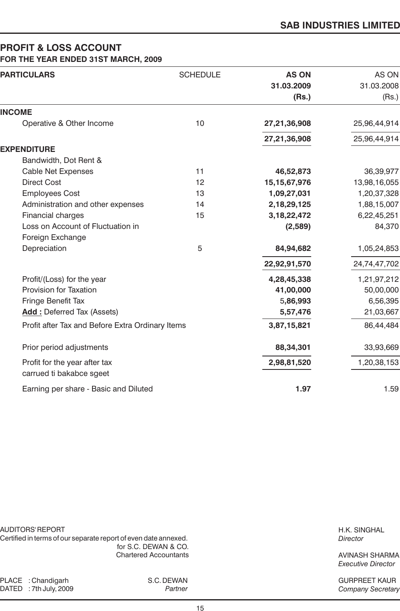# **PROFIT & LOSS ACCOUNT**

| <b>PARTICULARS</b>                               | <b>SCHEDULE</b> | <b>AS ON</b><br>31.03.2009<br>(Rs.) | AS ON<br>31.03.2008<br>(Rs.) |
|--------------------------------------------------|-----------------|-------------------------------------|------------------------------|
| <b>INCOME</b>                                    |                 |                                     |                              |
| Operative & Other Income                         | 10              | 27,21,36,908                        | 25,96,44,914                 |
|                                                  |                 | 27,21,36,908                        | 25,96,44,914                 |
| <b>EXPENDITURE</b>                               |                 |                                     |                              |
| Bandwidth, Dot Rent &                            |                 |                                     |                              |
| <b>Cable Net Expenses</b>                        | 11              | 46,52,873                           | 36,39,977                    |
| <b>Direct Cost</b>                               | 12              | 15, 15, 67, 976                     | 13,98,16,055                 |
| <b>Employees Cost</b>                            | 13              | 1,09,27,031                         | 1,20,37,328                  |
| Administration and other expenses                | 14              | 2,18,29,125                         | 1,88,15,007                  |
| Financial charges                                | 15              | 3, 18, 22, 472                      | 6,22,45,251                  |
| Loss on Account of Fluctuation in                |                 | (2,589)                             | 84,370                       |
| Foreign Exchange                                 |                 |                                     |                              |
| Depreciation                                     | 5               | 84,94,682                           | 1,05,24,853                  |
|                                                  |                 | 22,92,91,570                        | 24,74,47,702                 |
| Profit/(Loss) for the year                       |                 | 4,28,45,338                         | 1,21,97,212                  |
| Provision for Taxation                           |                 | 41,00,000                           | 50,00,000                    |
| Fringe Benefit Tax                               |                 | 5,86,993                            | 6,56,395                     |
| <b>Add: Deferred Tax (Assets)</b>                |                 | 5,57,476                            | 21,03,667                    |
| Profit after Tax and Before Extra Ordinary Items |                 | 3,87,15,821                         | 86,44,484                    |
| Prior period adjustments                         |                 | 88,34,301                           | 33,93,669                    |
| Profit for the year after tax                    |                 | 2,98,81,520                         | 1,20,38,153                  |
| carrued ti bakabce sgeet                         |                 |                                     |                              |
| Earning per share - Basic and Diluted            |                 | 1.97                                | 1.59                         |
|                                                  |                 |                                     |                              |

AUDITORS' REPORT

Certified in terms of our separate report of even date annexed. for S.C. DEWAN & CO. Chartered Accountants H.K. SINGHAL *Director*

AVINASH SHARMA *Executive Director*

GURPREET KAUR *Company Secretary*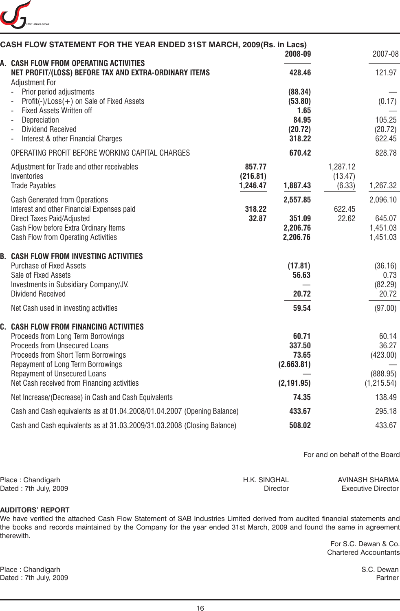

| CASH FLOW STATEMENT FOR THE YEAR ENDED 31ST MARCH, 2009(Rs. in Lacs)                                                                                                                                                                                                            |                                | 2008-09                                               |                               | 2007-08                                              |
|---------------------------------------------------------------------------------------------------------------------------------------------------------------------------------------------------------------------------------------------------------------------------------|--------------------------------|-------------------------------------------------------|-------------------------------|------------------------------------------------------|
| A. CASH FLOW FROM OPERATING ACTIVITIES<br>NET PROFIT/(LOSS) BEFORE TAX AND EXTRA-ORDINARY ITEMS                                                                                                                                                                                 |                                | 428.46                                                |                               | 121.97                                               |
| <b>Adjustment For</b><br>Prior period adjustments<br>Profit(-)/Loss(+) on Sale of Fixed Assets<br><b>Fixed Assets Written off</b><br>Depreciation<br><b>Dividend Received</b>                                                                                                   |                                | (88.34)<br>(53.80)<br>1.65<br>84.95<br>(20.72)        |                               | (0.17)<br>105.25<br>(20.72)                          |
| Interest & other Financial Charges                                                                                                                                                                                                                                              |                                | 318.22                                                |                               | 622.45                                               |
| OPERATING PROFIT BEFORE WORKING CAPITAL CHARGES                                                                                                                                                                                                                                 |                                | 670.42                                                |                               | 828.78                                               |
| Adjustment for Trade and other receivables<br>Inventories<br><b>Trade Payables</b>                                                                                                                                                                                              | 857.77<br>(216.81)<br>1,246.47 | 1,887.43                                              | 1,287.12<br>(13.47)<br>(6.33) | 1,267.32                                             |
| <b>Cash Generated from Operations</b>                                                                                                                                                                                                                                           |                                | 2,557.85                                              |                               | 2,096.10                                             |
| Interest and other Financial Expenses paid<br>Direct Taxes Paid/Adjusted<br>Cash Flow before Extra Ordinary Items<br>Cash Flow from Operating Activities                                                                                                                        | 318.22<br>32.87                | 351.09<br>2,206.76<br>2,206.76                        | 622.45<br>22.62               | 645.07<br>1,451.03<br>1,451.03                       |
| <b>B. CASH FLOW FROM INVESTING ACTIVITIES</b><br><b>Purchase of Fixed Assets</b><br>Sale of Fixed Assets<br>Investments in Subsidiary Company/JV.<br><b>Dividend Received</b>                                                                                                   |                                | (17.81)<br>56.63<br>20.72                             |                               | (36.16)<br>0.73<br>(82.29)<br>20.72                  |
| Net Cash used in investing activities                                                                                                                                                                                                                                           |                                | 59.54                                                 |                               | (97.00)                                              |
| C. CASH FLOW FROM FINANCING ACTIVITIES<br>Proceeds from Long Term Borrowings<br>Proceeds from Unsecured Loans<br>Proceeds from Short Term Borrowings<br>Repayment of Long Term Borrowings<br><b>Repayment of Unsecured Loans</b><br>Net Cash received from Financing activities |                                | 60.71<br>337.50<br>73.65<br>(2.663.81)<br>(2, 191.95) |                               | 60.14<br>36.27<br>(423.00)<br>(888.95)<br>(1,215.54) |
| Net Increase/(Decrease) in Cash and Cash Equivalents                                                                                                                                                                                                                            |                                | 74.35                                                 |                               | 138.49                                               |
| Cash and Cash equivalents as at 01.04.2008/01.04.2007 (Opening Balance)                                                                                                                                                                                                         |                                | 433.67                                                |                               | 295.18                                               |
| Cash and Cash equivalents as at 31.03.2009/31.03.2008 (Closing Balance)                                                                                                                                                                                                         |                                | 508.02                                                |                               | 433.67                                               |

For and on behalf of the Board

| Place: Chandigarh     | H.K. SINGHAL | AVINASH SHARMA            |
|-----------------------|--------------|---------------------------|
| Dated: 7th July, 2009 | Director     | <b>Executive Director</b> |

### **AUDITORS' REPORT**

We have verified the attached Cash Flow Statement of SAB Industries Limited derived from audited financial statements and the books and records maintained by the Company for the year ended 31st March, 2009 and found the same in agreement therewith.

> For S.C. Dewan & Co. Chartered Accountants

Place : Chandigarh S.C. Dewan Dated : 7th July, 2009 Partner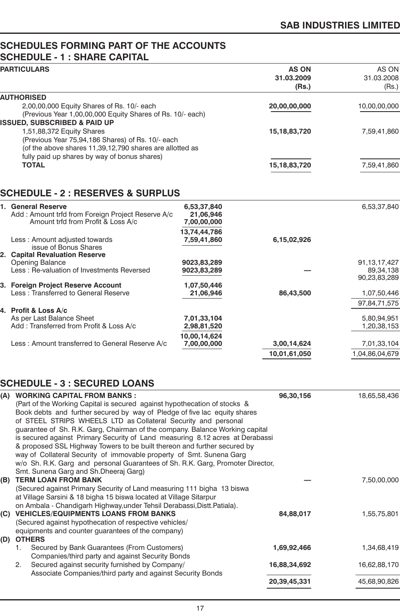# **SCHEDULES FORMING PART OF THE ACCOUNTS SCHEDULE - 1 : SHARE CAPITAL**

| <b>PARTICULARS</b>                                                                                       |                          | <b>AS ON</b><br>31.03.2009<br>(Rs.) | AS ON<br>31.03.2008<br>(Rs.) |
|----------------------------------------------------------------------------------------------------------|--------------------------|-------------------------------------|------------------------------|
| <b>AUTHORISED</b>                                                                                        |                          |                                     |                              |
| 2,00,00,000 Equity Shares of Rs. 10/- each                                                               |                          | 20,00,00,000                        | 10,00,00,000                 |
| (Previous Year 1,00,00,000 Equity Shares of Rs. 10/- each)                                               |                          |                                     |                              |
| <b>ISSUED, SUBSCRIBED &amp; PAID UP</b>                                                                  |                          |                                     |                              |
| 1,51,88,372 Equity Shares                                                                                |                          | 15, 18, 83, 720                     | 7,59,41,860                  |
| (Previous Year 75,94,186 Shares) of Rs. 10/- each                                                        |                          |                                     |                              |
| (of the above shares 11,39,12,790 shares are allotted as<br>fully paid up shares by way of bonus shares) |                          |                                     |                              |
| <b>TOTAL</b>                                                                                             |                          | 15, 18, 83, 720                     | 7,59,41,860                  |
|                                                                                                          |                          |                                     |                              |
|                                                                                                          |                          |                                     |                              |
| <b>SCHEDULE - 2 : RESERVES &amp; SURPLUS</b>                                                             |                          |                                     |                              |
| 1. General Reserve                                                                                       | 6,53,37,840              |                                     | 6,53,37,840                  |
| Add: Amount trfd from Foreign Project Reserve A/c                                                        | 21,06,946                |                                     |                              |
| Amount trfd from Profit & Loss A/c                                                                       | 7,00,00,000              |                                     |                              |
|                                                                                                          | 13,74,44,786             |                                     |                              |
| Less: Amount adjusted towards<br>issue of Bonus Shares                                                   | 7,59,41,860              | 6,15,02,926                         |                              |
| 2. Capital Revaluation Reserve                                                                           |                          |                                     |                              |
| <b>Opening Balance</b>                                                                                   | 9023,83,289              |                                     | 91, 13, 17, 427              |
| Less: Re-valuation of Investments Reversed                                                               | 9023,83,289              |                                     | 89,34,138                    |
|                                                                                                          |                          |                                     | 90,23,83,289                 |
| 3. Foreign Project Reserve Account<br>Less: Transferred to General Reserve                               | 1,07,50,446<br>21,06,946 | 86,43,500                           | 1,07,50,446                  |
|                                                                                                          |                          |                                     | 97,84,71,575                 |
| 4. Profit & Loss A/c                                                                                     |                          |                                     |                              |
| As per Last Balance Sheet                                                                                | 7,01,33,104              |                                     | 5,80,94,951                  |
| Add: Transferred from Profit & Loss A/c                                                                  | 2,98,81,520              |                                     | 1,20,38,153                  |
|                                                                                                          | 10,00,14,624             |                                     |                              |
| Less: Amount transferred to General Reserve A/c                                                          | 7,00,00,000              | 3,00,14,624                         | 7,01,33,104                  |
|                                                                                                          |                          | 10,01,61,050                        | 1,04,86,04,679               |

# **SCHEDULE - 3 : SECURED LOANS**

| (A) | <b>WORKING CAPITAL FROM BANKS:</b>                                             | 96,30,156    | 18,65,58,436 |
|-----|--------------------------------------------------------------------------------|--------------|--------------|
|     | (Part of the Working Capital is secured against hypothecation of stocks &      |              |              |
|     | Book debts and further secured by way of Pledge of five lac equity shares      |              |              |
|     | of STEEL STRIPS WHEELS LTD as Collateral Security and personal                 |              |              |
|     | guarantee of Sh. R.K. Garg, Chairman of the company. Balance Working capital   |              |              |
|     | is secured against Primary Security of Land measuring 8.12 acres at Derabassi  |              |              |
|     | & proposed SSL Highway Towers to be built thereon and further secured by       |              |              |
|     | way of Collateral Security of immovable property of Smt. Sunena Garg           |              |              |
|     | w/o Sh. R.K. Garg and personal Guarantees of Sh. R.K. Garg, Promoter Director, |              |              |
|     | Smt. Sunena Garg and Sh.Dheeraj Garg)                                          |              |              |
| (B) | <b>TERM LOAN FROM BANK</b>                                                     |              | 7,50,00,000  |
|     | (Secured against Primary Security of Land measuring 111 bigha 13 biswa         |              |              |
|     | at Village Sarsini & 18 bigha 15 biswa located at Village Sitarpur             |              |              |
|     | on Ambala - Chandigarh Highway, under Tehsil Derabassi, Distt. Patiala).       |              |              |
| (C) | <b>VEHICLES/EQUIPMENTS LOANS FROM BANKS</b>                                    | 84,88,017    | 1,55,75,801  |
|     | (Secured against hypothecation of respective vehicles/                         |              |              |
|     | equipments and counter guarantees of the company)                              |              |              |
| (D) | <b>OTHERS</b>                                                                  |              |              |
|     | Secured by Bank Guarantees (From Customers)<br>1.                              | 1,69,92,466  | 1,34,68,419  |
|     | Companies/third party and against Security Bonds                               |              |              |
|     | Secured against security furnished by Company/<br>2.                           | 16,88,34,692 | 16,62,88,170 |
|     | Associate Companies/third party and against Security Bonds                     |              |              |
|     |                                                                                | 20,39,45,331 | 45,68,90,826 |
|     |                                                                                |              |              |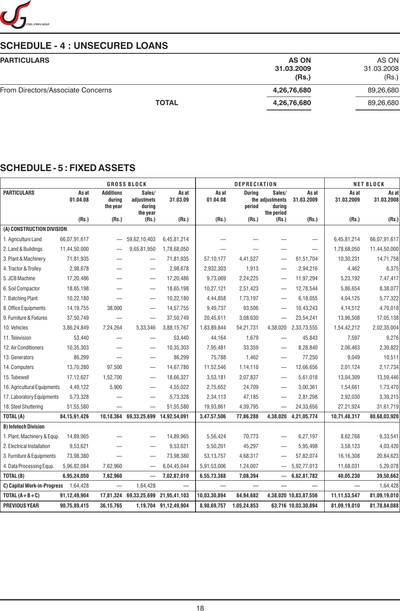

# **SCHEDULE - 4 : UNSECURED LOANS**

| <b>PARTICULARS</b>                | <b>AS ON</b> | AS ON      |
|-----------------------------------|--------------|------------|
|                                   | 31.03.2009   | 31.03.2008 |
|                                   | (Rs.)        | (Rs.)      |
| From Directors/Associate Concerns | 4,26,76,680  | 89,26,680  |
| <b>TOTAL</b>                      | 4,26,76,680  | 89,26,680  |
|                                   |              |            |

# **SCHEDULE - 5 : FIXED ASSETS**

| <b>GROSS BLOCK</b>          |                   |                                        |                                            | <b>DEPRECIATION</b>   |                   |                         |                                                   | <b>NET BLOCK</b>         |                          |                     |
|-----------------------------|-------------------|----------------------------------------|--------------------------------------------|-----------------------|-------------------|-------------------------|---------------------------------------------------|--------------------------|--------------------------|---------------------|
| <b>PARTICULARS</b>          | As at<br>01.04.08 | <b>Additions</b><br>during<br>the year | Sales/<br>adjustmets<br>during<br>the year | As at<br>31.03.09     | As at<br>01.04.08 | <b>During</b><br>period | Sales/<br>the adjustments<br>durina<br>the period | As at<br>31.03.2009      | As at<br>31.03.2009      | As at<br>31.03.2008 |
|                             | (Rs.)             | (Rs.)                                  | (Rs.)                                      | (Rs.)                 | (Rs.)             | (Rs.)                   | (Rs.)                                             | (Rs.)                    | (Rs.)                    | (Rs.)               |
| (A) CONSTRUCTION DIVISION   |                   |                                        |                                            |                       |                   |                         |                                                   |                          |                          |                     |
| 1. Agriculture Land         | 66,07,91,617      |                                        | 59,62,10,403                               | 6,45,81,214           |                   |                         |                                                   | $\overline{\phantom{0}}$ | 6,45,81,214              | 66,07,91,617        |
| 2. Land & Buildings         | 11,44,50,000      |                                        | 9,65,81,950                                | 1,78,68,050           |                   |                         |                                                   |                          | 1,78,68,050              | 11,44,50,000        |
| 3. Plant & Machinery        | 71,81,935         |                                        | $\overline{\phantom{0}}$                   | 71,81,935             | 57,10,177         | 4,41,527                | $\overline{\phantom{0}}$                          | 61,51,704                | 10,30,231                | 14,71,758           |
| 4. Tractor & Trolley        | 2,98,678          |                                        | $\overline{\phantom{0}}$                   | 2,98,678              | 2,932,303         | 1,913                   |                                                   | 2,94,216                 | 4,462                    | 6,375               |
| 5. JCB Machine              | 17,20,486         |                                        |                                            | 17,20,486             | 9,73,069          | 2,24,225                | —                                                 | 11,97,294                | 5,23,192                 | 7,47,417            |
| 6. Soil Compactor           | 18,65,198         |                                        |                                            | 18,65,198             | 10,27,121         | 2,51,423                |                                                   | 12,78,544                | 5,86,654                 | 8,38,077            |
| 7. Batching Plant           | 10,22,180         |                                        | $\overline{\phantom{0}}$                   | 10,22,180             | 4,44,858          | 1,73,197                |                                                   | 6,18,055                 | 4,04,125                 | 5,77,322            |
| 8. Office Equipments        | 14, 19, 755       | 38,000                                 | $\overline{\phantom{0}}$                   | 14,57,755             | 9,49,737          | 93,506                  |                                                   | 10,43,243                | 4,14,512                 | 4,70,018            |
| 9. Furniture & Fixtures     | 37,50,749         |                                        |                                            | 37,50,749             | 20,45,611         | 3,08,630                | $\overline{\phantom{0}}$                          | 23,54,241                | 13,96,508                | 17,05,138           |
| 10. Vehicles                | 3,86,24,849       | 7,24,264                               | 5,33,346                                   | 3,88,15,767           | 1,83,89,844       | 54,21,731               | 4,38,020                                          | 2,33,73,555              | 1,54,42,212              | 2,02,35,004         |
| 11. Television              | 53,440            | —                                      |                                            | 53,440                | 44,164            | 1,679                   |                                                   | 45,843                   | 7,597                    | 9,276               |
| 12. Air Conditioners        | 10,35,303         |                                        | $\overline{\phantom{0}}$                   | 10,35,303             | 7,95,481          | 33,359                  | —                                                 | 8,28,840                 | 2,06,463                 | 2,39,822            |
| 13. Generators              | 86,299            |                                        |                                            | 86,299                | 75,788            | 1,462                   |                                                   | 77,250                   | 9,049                    | 10,511              |
| 14. Computers               | 13,70,280         | 97,500                                 |                                            | 14,67,780             | 11,52,546         | 1,14,110                | $\overline{\phantom{0}}$                          | 12,66,656                | 2,01,124                 | 2,17,734            |
| 15. Tubewell                | 17,12,627         | 1,52,700                               | $\qquad \qquad -$                          | 18,66,327             | 3,53,181          | 2,07,837                |                                                   | 5,61,018                 | 13,04,309                | 13,59,446           |
| 16. Agricultural Equipments | 4,49,122          | 5,900                                  | $\overline{\phantom{0}}$                   | 4,55,022              | 2,75,652          | 24,709                  | $\overline{\phantom{0}}$                          | 3,00,361                 | 1,54,661                 | 1,73,470            |
| 17. Laboratory Equipments   | 5,73,328          |                                        | $\overline{\phantom{0}}$                   | 5,73,328              | 2,34,113          | 47,185                  | $\overline{\phantom{0}}$                          | 2,81,298                 | 2,92,030                 | 3,39,215            |
| 18. Steel Shuttering        | 51,55,580         |                                        |                                            | 51,55,580             | 19,93,861         | 4,39,795                | —                                                 | 24,33,656                | 27,21,924                | 31,61,719           |
| TOTAL (A)                   | 84, 15, 61, 426   |                                        | 10,18,364 69,33,25,699 14,92,54,091        |                       | 3,47,57,506       | 77,86,288               | 4,38,020                                          | 4,21,05,774              | 10,71,48,317             | 80,68,03,920        |
| <b>B) Infotech Division</b> |                   |                                        |                                            |                       |                   |                         |                                                   |                          |                          |                     |
| 1. Plant, Machinery & Equp. | 14,89,965         |                                        |                                            | 14,89,965             | 5,56,424          | 70,773                  |                                                   | 6,27,197                 | 8,62,768                 | 9,33,541            |
| 2. Electrical Installation  | 9,53,621          |                                        |                                            | 9,53,621              | 5,50,201          | 45,297                  | —                                                 | 5,95,498                 | 3,58,123                 | 4,03,420            |
| 3. Furniture & Equipments   | 73,98,380         |                                        | $\overline{\phantom{0}}$                   | 73,98,380             | 53,13,757         | 4,68,317                |                                                   | 57,82,074                | 16,16,308                | 20,84,623           |
| 4. Data Processing Equp.    | 5,96,82,084       | 7,62,960                               |                                            | 6,04,45,044           | 5,91,53,006       | 1,24,007                |                                                   | 5,92,77,013              | 11,68,031                | 5,29,078            |
| TOTAL (B)                   | 6,95,24,050       | 7,62,960                               | —                                          | 7,02,87,010           | 6,55,73,388       | 7,08,394                |                                                   | 6,62,81,782              | 40,05,230                | 39,50,662           |
| C) Capital Work-in-Progress | 1,64,428          | $\overline{\phantom{0}}$               | 1,64,428                                   |                       |                   |                         |                                                   |                          | $\overline{\phantom{0}}$ | 1,64,428            |
| TOTAL $(A+B+C)$             | 91,12,49,904      |                                        | 17,81,324 69,33,25,699                     | 21,95,41,103          | 10,03,30,894      | 84,94,682               |                                                   | 4,38,020 10,83,87,556    | 11,11,53,547             | 81,09,19,010        |
| <b>PREVIOUS YEAR</b>        | 90,75,89,415      | 36,15,765                              |                                            | 1,19,704 91,12,49,904 | 8,98,69,757       | 1,05,24,853             |                                                   | 63,716 10,03,30,894      | 81,09,19,010             | 81,78,84,088        |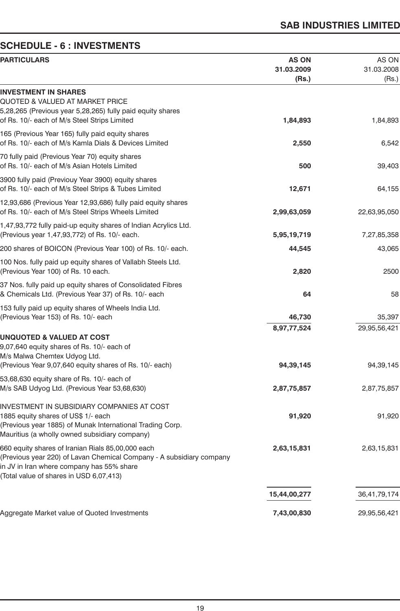# **SCHEDULE - 6 : INVESTMENTS**

| <b>PARTICULARS</b>                                                                                                                                                                                                | <b>AS ON</b><br>31.03.2009<br>(Rs.) | AS ON<br>31.03.2008<br>(Rs.) |
|-------------------------------------------------------------------------------------------------------------------------------------------------------------------------------------------------------------------|-------------------------------------|------------------------------|
| <b>INVESTMENT IN SHARES</b><br><b>QUOTED &amp; VALUED AT MARKET PRICE</b><br>5,28,265 (Previous year 5,28,265) fully paid equity shares<br>of Rs. 10/- each of M/s Steel Strips Limited                           | 1,84,893                            | 1,84,893                     |
| 165 (Previous Year 165) fully paid equity shares<br>of Rs. 10/- each of M/s Kamla Dials & Devices Limited                                                                                                         | 2,550                               | 6,542                        |
| 70 fully paid (Previous Year 70) equity shares<br>of Rs. 10/- each of M/s Asian Hotels Limited                                                                                                                    | 500                                 | 39,403                       |
| 3900 fully paid (Previouy Year 3900) equity shares<br>of Rs. 10/- each of M/s Steel Strips & Tubes Limited                                                                                                        | 12,671                              | 64,155                       |
| 12,93,686 (Previous Year 12,93,686) fully paid equity shares<br>of Rs. 10/- each of M/s Steel Strips Wheels Limited                                                                                               | 2,99,63,059                         | 22,63,95,050                 |
| 1,47,93,772 fully paid-up equity shares of Indian Acrylics Ltd.<br>(Previous year 1,47,93,772) of Rs. 10/- each.                                                                                                  | 5,95,19,719                         | 7,27,85,358                  |
| 200 shares of BOICON (Previous Year 100) of Rs. 10/- each.                                                                                                                                                        | 44,545                              | 43,065                       |
| 100 Nos. fully paid up equity shares of Vallabh Steels Ltd.<br>(Previous Year 100) of Rs. 10 each.                                                                                                                | 2,820                               | 2500                         |
| 37 Nos. fully paid up equity shares of Consolidated Fibres<br>& Chemicals Ltd. (Previous Year 37) of Rs. 10/- each                                                                                                | 64                                  | 58                           |
| 153 fully paid up equity shares of Wheels India Ltd.<br>(Previous Year 153) of Rs. 10/- each                                                                                                                      | 46,730                              | 35,397                       |
| <b>UNQUOTED &amp; VALUED AT COST</b><br>9,07,640 equity shares of Rs. 10/- each of<br>M/s Malwa Chemtex Udyog Ltd.<br>(Previous Year 9,07,640 equity shares of Rs. 10/- each)                                     | 8,97,77,524<br>94,39,145            | 29,95,56,421<br>94, 39, 145  |
| 53,68,630 equity share of Rs. 10/- each of<br>M/s SAB Udyog Ltd. (Previous Year 53,68,630)                                                                                                                        | 2,87,75,857                         | 2,87,75,857                  |
| INVESTMENT IN SUBSIDIARY COMPANIES AT COST<br>1885 equity shares of US\$ 1/- each<br>(Previous year 1885) of Munak International Trading Corp.<br>Mauritius (a wholly owned subsidiary company)                   | 91,920                              | 91,920                       |
| 660 equity shares of Iranian Rials 85,00,000 each<br>(Previous year 220) of Lavan Chemical Company - A subsidiary company<br>in JV in Iran where company has 55% share<br>(Total value of shares in USD 6,07,413) | 2,63,15,831                         | 2,63,15,831                  |
|                                                                                                                                                                                                                   | 15,44,00,277                        | 36,41,79,174                 |
| Aggregate Market value of Quoted Investments                                                                                                                                                                      | 7,43,00,830                         | 29,95,56,421                 |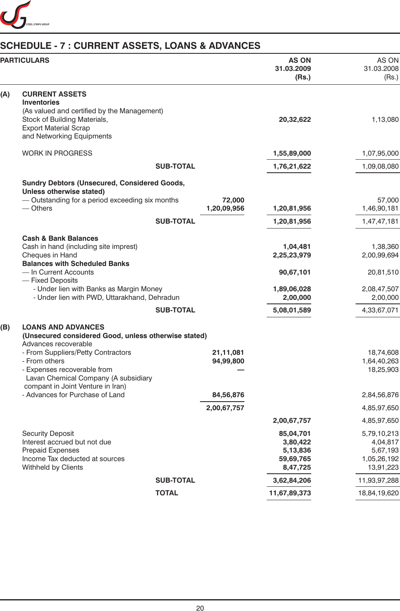

# **SCHEDULE - 7 : CURRENT ASSETS, LOANS & ADVANCES**

|     | <b>PARTICULARS</b>                                                                                                                                              |                  |                        | <b>AS ON</b><br>31.03.2009<br>(Rs.)                        | AS ON<br>31.03.2008<br>(Rs.)                                    |
|-----|-----------------------------------------------------------------------------------------------------------------------------------------------------------------|------------------|------------------------|------------------------------------------------------------|-----------------------------------------------------------------|
| (A) | <b>CURRENT ASSETS</b><br><b>Inventories</b><br>(As valued and certified by the Management)                                                                      |                  |                        |                                                            |                                                                 |
|     | Stock of Building Materials,<br><b>Export Material Scrap</b><br>and Networking Equipments                                                                       |                  |                        | 20,32,622                                                  | 1,13,080                                                        |
|     | <b>WORK IN PROGRESS</b>                                                                                                                                         |                  |                        | 1,55,89,000                                                | 1,07,95,000                                                     |
|     |                                                                                                                                                                 | <b>SUB-TOTAL</b> |                        | 1,76,21,622                                                | 1,09,08,080                                                     |
|     | <b>Sundry Debtors (Unsecured, Considered Goods,</b><br>Unless otherwise stated)                                                                                 |                  |                        |                                                            |                                                                 |
|     | - Outstanding for a period exceeding six months<br>$-$ Others                                                                                                   |                  | 72,000<br>1,20,09,956  | 1,20,81,956                                                | 57,000<br>1,46,90,181                                           |
|     |                                                                                                                                                                 | <b>SUB-TOTAL</b> |                        | 1,20,81,956                                                | 1,47,47,181                                                     |
|     | <b>Cash &amp; Bank Balances</b><br>Cash in hand (including site imprest)<br>Cheques in Hand                                                                     |                  |                        | 1,04,481<br>2,25,23,979                                    | 1,38,360<br>2,00,99,694                                         |
|     | <b>Balances with Scheduled Banks</b><br>- In Current Accounts<br>- Fixed Deposits                                                                               |                  |                        | 90,67,101                                                  | 20,81,510                                                       |
|     | - Under lien with Banks as Margin Money<br>- Under lien with PWD, Uttarakhand, Dehradun                                                                         |                  |                        | 1,89,06,028<br>2,00,000                                    | 2,08,47,507<br>2,00,000                                         |
|     |                                                                                                                                                                 | <b>SUB-TOTAL</b> |                        | 5,08,01,589                                                | 4,33,67,071                                                     |
| (B) | <b>LOANS AND ADVANCES</b><br>(Unsecured considered Good, unless otherwise stated)<br>Advances recoverable                                                       |                  |                        |                                                            |                                                                 |
|     | - From Suppliers/Petty Contractors<br>- From others<br>- Expenses recoverable from<br>Lavan Chemical Company (A subsidiary<br>compant in Joint Venture in Iran) |                  | 21,11,081<br>94,99,800 |                                                            | 18,74,608<br>1,64,40,263<br>18,25,903                           |
|     | - Advances for Purchase of Land                                                                                                                                 |                  | 84,56,876              |                                                            | 2,84,56,876                                                     |
|     |                                                                                                                                                                 |                  | 2,00,67,757            |                                                            | 4,85,97,650                                                     |
|     |                                                                                                                                                                 |                  |                        | 2,00,67,757                                                | 4,85,97,650                                                     |
|     | <b>Security Deposit</b><br>Interest accrued but not due<br><b>Prepaid Expenses</b><br>Income Tax deducted at sources<br>Withheld by Clients                     |                  |                        | 85,04,701<br>3,80,422<br>5,13,836<br>59,69,765<br>8,47,725 | 5,79,10,213<br>4,04,817<br>5,67,193<br>1,05,26,192<br>13,91,223 |
|     |                                                                                                                                                                 | <b>SUB-TOTAL</b> |                        | 3,62,84,206                                                | 11,93,97,288                                                    |
|     |                                                                                                                                                                 | <b>TOTAL</b>     |                        | 11,67,89,373                                               | 18,84,19,620                                                    |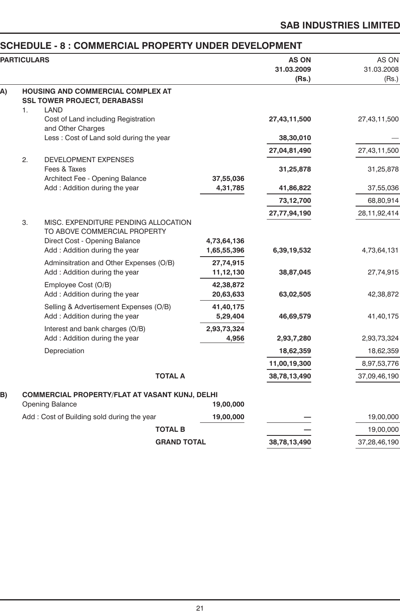# **SAB INDUSTRIES LIMITED**

# **SCHEDULE - 8 : COMMERCIAL PROPERTY UNDER DEVELOPMENT**

|    | <b>PARTICULARS</b> |                                                                                                                                        |                            | <b>AS ON</b><br>31.03.2009<br>(Rs.) | AS ON<br>31.03.2008<br>(Rs.) |
|----|--------------------|----------------------------------------------------------------------------------------------------------------------------------------|----------------------------|-------------------------------------|------------------------------|
| A) |                    | <b>HOUSING AND COMMERCIAL COMPLEX AT</b><br><b>SSL TOWER PROJECT, DERABASSI</b>                                                        |                            |                                     |                              |
|    | 1.                 | <b>LAND</b><br>Cost of Land including Registration<br>and Other Charges                                                                |                            | 27,43,11,500                        | 27,43,11,500                 |
|    |                    | Less : Cost of Land sold during the year                                                                                               |                            | 38,30,010                           |                              |
|    |                    |                                                                                                                                        |                            | 27,04,81,490                        | 27,43,11,500                 |
|    | 2.                 | DEVELOPMENT EXPENSES<br>Fees & Taxes                                                                                                   |                            | 31,25,878                           | 31,25,878                    |
|    |                    | Architect Fee - Opening Balance<br>Add: Addition during the year                                                                       | 37,55,036<br>4,31,785      | 41,86,822                           | 37,55,036                    |
|    |                    |                                                                                                                                        |                            | 73,12,700                           | 68,80,914                    |
|    |                    |                                                                                                                                        |                            | 27,77,94,190                        | 28, 11, 92, 414              |
|    | 3.                 | MISC. EXPENDITURE PENDING ALLOCATION<br>TO ABOVE COMMERCIAL PROPERTY<br>Direct Cost - Opening Balance<br>Add: Addition during the year | 4,73,64,136<br>1,65,55,396 | 6,39,19,532                         | 4,73,64,131                  |
|    |                    | Adminsitration and Other Expenses (O/B)<br>Add: Addition during the year                                                               | 27,74,915<br>11,12,130     | 38,87,045                           | 27,74,915                    |
|    |                    | Employee Cost (O/B)<br>Add: Addition during the year                                                                                   | 42,38,872<br>20,63,633     | 63,02,505                           | 42,38,872                    |
|    |                    | Selling & Advertisement Expenses (O/B)<br>Add: Addition during the year                                                                | 41,40,175<br>5,29,404      | 46,69,579                           | 41,40,175                    |
|    |                    | Interest and bank charges (O/B)<br>Add: Addition during the year                                                                       | 2,93,73,324<br>4,956       | 2,93,7,280                          | 2,93,73,324                  |
|    |                    | Depreciation                                                                                                                           |                            | 18,62,359                           | 18,62,359                    |
|    |                    |                                                                                                                                        |                            | 11,00,19,300                        | 8,97,53,776                  |
|    |                    | <b>TOTAL A</b>                                                                                                                         |                            | 38,78,13,490                        | 37,09,46,190                 |
| B) |                    | <b>COMMERCIAL PROPERTY/FLAT AT VASANT KUNJ, DELHI</b><br>Opening Balance                                                               | 19,00,000                  |                                     |                              |
|    |                    | Add: Cost of Building sold during the year                                                                                             | 19,00,000                  |                                     | 19,00,000                    |
|    |                    | <b>TOTAL B</b>                                                                                                                         |                            |                                     | 19,00,000                    |
|    |                    | <b>GRAND TOTAL</b>                                                                                                                     |                            | 38,78,13,490                        | 37,28,46,190                 |
|    |                    |                                                                                                                                        |                            |                                     |                              |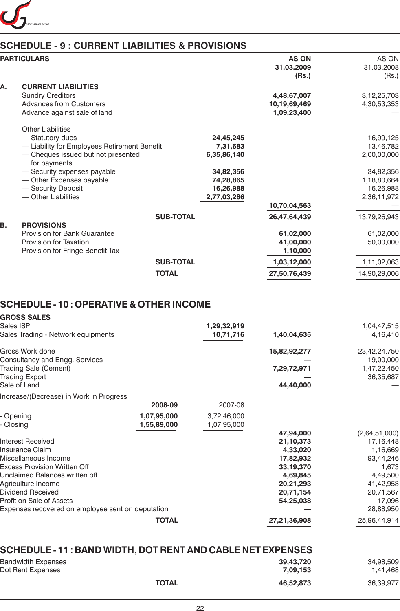

# **SCHEDULE - 9 : CURRENT LIABILITIES & PROVISIONS**

|    | <b>PARTICULARS</b>                                             |                  | <b>AS ON</b><br>31.03.2009<br>(Rs.) | AS ON<br>31.03.2008<br>(Rs.) |
|----|----------------------------------------------------------------|------------------|-------------------------------------|------------------------------|
| А. | <b>CURRENT LIABILITIES</b><br><b>Sundry Creditors</b>          |                  | 4,48,67,007                         | 3,12,25,703                  |
|    | <b>Advances from Customers</b><br>Advance against sale of land |                  | 10,19,69,469<br>1,09,23,400         | 4,30,53,353                  |
|    | <b>Other Liabilities</b>                                       |                  |                                     |                              |
|    | - Statutory dues                                               | 24,45,245        |                                     | 16,99,125                    |
|    | - Liability for Employees Retirement Benefit                   | 7,31,683         |                                     | 13,46,782                    |
|    | - Cheques issued but not presented<br>for payments             | 6,35,86,140      |                                     | 2,00,00,000                  |
|    | - Security expenses payable                                    | 34,82,356        |                                     | 34,82,356                    |
|    | - Other Expenses payable                                       | 74,28,865        |                                     | 1,18,80,664                  |
|    | - Security Deposit                                             | 16,26,988        |                                     | 16,26,988                    |
|    | - Other Liabilities                                            | 2,77,03,286      |                                     | 2,36,11,972                  |
|    |                                                                |                  | 10,70,04,563                        |                              |
| В. | <b>PROVISIONS</b>                                              | <b>SUB-TOTAL</b> | 26,47,64,439                        | 13,79,26,943                 |
|    | <b>Provision for Bank Guarantee</b>                            |                  | 61,02,000                           | 61,02,000                    |
|    | Provision for Taxation                                         |                  | 41,00,000                           | 50,00,000                    |
|    | Provision for Fringe Benefit Tax                               |                  | 1,10,000                            |                              |
|    |                                                                | <b>SUB-TOTAL</b> | 1,03,12,000                         | 1,11,02,063                  |
|    |                                                                | <b>TOTAL</b>     | 27,50,76,439                        | 14,90,29,006                 |

# **SCHEDULE - 10 : OPERATIVE & OTHER INCOME**

| <b>GROSS SALES</b>                                |              |             |              |               |
|---------------------------------------------------|--------------|-------------|--------------|---------------|
| Sales ISP                                         |              | 1,29,32,919 |              | 1,04,47,515   |
| Sales Trading - Network equipments                |              | 10,71,716   | 1,40,04,635  | 4,16,410      |
| Gross Work done                                   |              |             | 15,82,92,277 | 23,42,24,750  |
| Consultancy and Engg. Services                    |              |             |              | 19,00,000     |
| Trading Sale (Cement)                             |              |             | 7,29,72,971  | 1,47,22,450   |
| Trading Export                                    |              |             |              | 36, 35, 687   |
| Sale of Land                                      |              |             | 44,40,000    |               |
| Increase/(Decrease) in Work in Progress           |              |             |              |               |
|                                                   | 2008-09      | 2007-08     |              |               |
| - Opening                                         | 1,07,95,000  | 3,72,46,000 |              |               |
| - Closing                                         | 1,55,89,000  | 1,07,95,000 |              |               |
|                                                   |              |             | 47,94,000    | (2,64,51,000) |
| Interest Received                                 |              |             | 21,10,373    | 17,16,448     |
| Insurance Claim                                   |              |             | 4,33,020     | 1,16,669      |
| Miscellaneous Income                              |              |             | 17,82,932    | 93,44,246     |
| Excess Provision Written Off                      |              |             | 33,19,370    | 1,673         |
| Unclaimed Balances written off                    |              |             | 4,69,845     | 4,49,500      |
| Agriculture Income                                |              |             | 20,21,293    | 41,42,953     |
| Dividend Received                                 |              |             | 20,71,154    | 20,71,567     |
| Profit on Sale of Assets                          |              |             | 54,25,038    | 17,096        |
| Expenses recovered on employee sent on deputation |              |             |              | 28,88,950     |
|                                                   | <b>TOTAL</b> |             | 27,21,36,908 | 25,96,44,914  |
|                                                   |              |             |              |               |

| SCHEDULE - 11 : BAND WIDTH, DOT RENT AND CABLE NET EXPENSES |                       |                       |
|-------------------------------------------------------------|-----------------------|-----------------------|
| Bandwidth Expenses<br>Dot Rent Expenses                     | 39.43.720<br>7.09.153 | 34,98,509<br>1,41,468 |
| <b>TOTAL</b>                                                | 46.52.873             | 36,39,977             |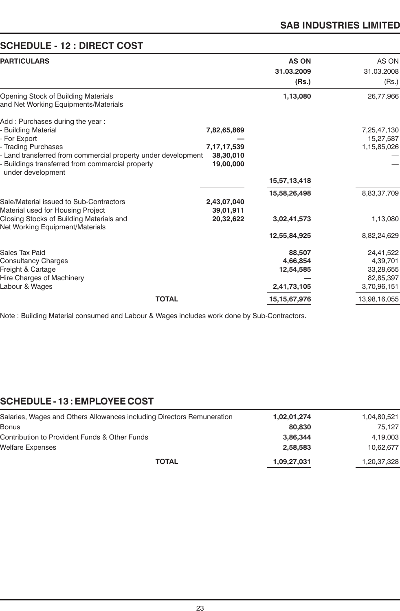# **SAB INDUSTRIES LIMITED**

# **SCHEDULE - 12 : DIRECT COST**

|                                                                                         | <b>AS ON</b><br>31.03.2009<br>(Rs.)        | AS ON<br>31.03.2008<br>(Rs.) |
|-----------------------------------------------------------------------------------------|--------------------------------------------|------------------------------|
|                                                                                         | 1,13,080                                   | 26,77,966                    |
| 7,82,65,869                                                                             |                                            | 7,25,47,130<br>15,27,587     |
| - Land transferred from commercial property under development<br>38,30,010<br>19,00,000 |                                            | 1,15,85,026                  |
|                                                                                         | 15,57,13,418                               |                              |
|                                                                                         | 15,58,26,498                               | 8,83,37,709                  |
|                                                                                         |                                            |                              |
| 20,32,622                                                                               | 3,02,41,573                                | 1,13,080                     |
|                                                                                         | 12,55,84,925                               | 8,82,24,629                  |
|                                                                                         |                                            | 24,41,522                    |
|                                                                                         | 4,66,854                                   | 4,39,701                     |
|                                                                                         | 12,54,585                                  | 33,28,655                    |
|                                                                                         |                                            | 82,85,397                    |
|                                                                                         | 2,41,73,105                                | 3,70,96,151                  |
|                                                                                         | 15, 15, 67, 976                            | 13,98,16,055                 |
|                                                                                         | 7, 17, 17, 539<br>2,43,07,040<br>39,01,911 | 88,507                       |

Note : Building Material consumed and Labour & Wages includes work done by Sub-Contractors.

# **SCHEDULE - 13 : EMPLOYEE COST**

| 1,02,01,274 | 1,04,80,521 |
|-------------|-------------|
| 80.830      | 75.127      |
| 3,86,344    | 4,19,003    |
| 2.58.583    | 10,62,677   |
| 1,09,27,031 | 1,20,37,328 |
|             |             |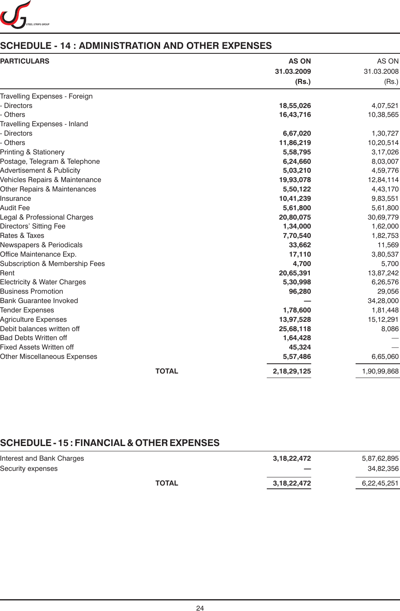

# **SCHEDULE - 14 : ADMINISTRATION AND OTHER EXPENSES**

| <b>PARTICULARS</b>                  | <b>AS ON</b> | AS ON       |  |
|-------------------------------------|--------------|-------------|--|
|                                     | 31.03.2009   | 31.03.2008  |  |
|                                     | (Rs.)        | (Rs.)       |  |
| Travelling Expenses - Foreign       |              |             |  |
| <b>Directors</b>                    | 18,55,026    | 4,07,521    |  |
| Others                              | 16,43,716    | 10,38,565   |  |
| Travelling Expenses - Inland        |              |             |  |
| <b>Directors</b>                    | 6,67,020     | 1,30,727    |  |
| Others                              | 11,86,219    | 10,20,514   |  |
| <b>Printing &amp; Stationery</b>    | 5,58,795     | 3,17,026    |  |
| Postage, Telegram & Telephone       | 6,24,660     | 8,03,007    |  |
| Advertisement & Publicity           | 5,03,210     | 4,59,776    |  |
| Vehicles Repairs & Maintenance      | 19,93,078    | 12,84,114   |  |
| Other Repairs & Maintenances        | 5,50,122     | 4,43,170    |  |
| Insurance                           | 10,41,239    | 9,83,551    |  |
| Audit Fee                           | 5,61,800     | 5,61,800    |  |
| Legal & Professional Charges        | 20,80,075    | 30,69,779   |  |
| Directors' Sitting Fee              | 1,34,000     | 1,62,000    |  |
| Rates & Taxes                       | 7,70,540     | 1,82,753    |  |
| Newspapers & Periodicals            | 33,662       | 11,569      |  |
| Office Maintenance Exp.             | 17,110       | 3,80,537    |  |
| Subscription & Membership Fees      | 4,700        | 5,700       |  |
| Rent                                | 20,65,391    | 13,87,242   |  |
| Electricity & Water Charges         | 5,30,998     | 6,26,576    |  |
| <b>Business Promotion</b>           | 96,280       | 29,056      |  |
| <b>Bank Guarantee Invoked</b>       |              | 34,28,000   |  |
| <b>Tender Expenses</b>              | 1,78,600     | 1,81,448    |  |
| <b>Agriculture Expenses</b>         | 13,97,528    | 15, 12, 291 |  |
| Debit balances written off          | 25,68,118    | 8,086       |  |
| <b>Bad Debts Written off</b>        | 1,64,428     |             |  |
| Fixed Assets Written off            | 45,324       |             |  |
| <b>Other Miscellaneous Expenses</b> | 5,57,486     | 6,65,060    |  |
| <b>TOTAL</b>                        | 2,18,29,125  | 1,90,99,868 |  |

# **SCHEDULE - 15 : FINANCIAL & OTHER EXPENSES**

| Interest and Bank Charges |              | 3,18,22,472 | 5,87,62,895 |
|---------------------------|--------------|-------------|-------------|
| Security expenses         |              |             | 34,82,356   |
|                           | <b>TOTAL</b> | 3,18,22,472 | 6,22,45,251 |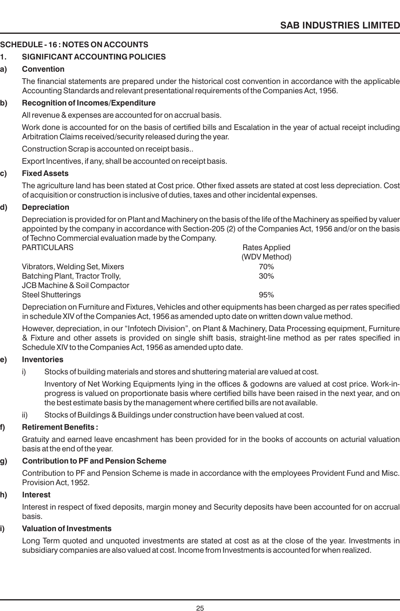### **SCHEDULE - 16 : NOTES ON ACCOUNTS**

### **1. SIGNIFICANT ACCOUNTING POLICIES**

### **a) Convention**

The financial statements are prepared under the historical cost convention in accordance with the applicable Accounting Standards and relevant presentational requirements of the Companies Act, 1956.

### **b) Recognition of Incomes/Expenditure**

All revenue & expenses are accounted for on accrual basis.

Work done is accounted for on the basis of certified bills and Escalation in the year of actual receipt including Arbitration Claims received/security released during the year.

Construction Scrap is accounted on receipt basis..

Export Incentives, if any, shall be accounted on receipt basis.

### **c) Fixed Assets**

The agriculture land has been stated at Cost price. Other fixed assets are stated at cost less depreciation. Cost of acquisition or construction is inclusive of duties, taxes and other incidental expenses.

### **d) Depreciation**

Depreciation is provided for on Plant and Machinery on the basis of the life of the Machinery as speified by valuer appointed by the company in accordance with Section-205 (2) of the Companies Act, 1956 and/or on the basis of Techno Commercial evaluation made by the Company.

| Rates Applied |
|---------------|
| (WDV Method)  |
| 70%           |
| 30%           |
|               |
| 95%           |
|               |

Depreciation on Furniture and Fixtures, Vehicles and other equipments has been charged as per rates specified in schedule XIV of the Companies Act, 1956 as amended upto date on written down value method.

However, depreciation, in our "Infotech Division", on Plant & Machinery, Data Processing equipment, Furniture & Fixture and other assets is provided on single shift basis, straight-line method as per rates specified in Schedule XIV to the Companies Act, 1956 as amended upto date.

### **e) Inventories**

i) Stocks of building materials and stores and shuttering material are valued at cost.

Inventory of Net Working Equipments lying in the offices & godowns are valued at cost price. Work-inprogress is valued on proportionate basis where certified bills have been raised in the next year, and on the best estimate basis by the management where certified bills are not available.

ii) Stocks of Buildings & Buildings under construction have been valued at cost.

### **f) Retirement Benefits :**

Gratuity and earned leave encashment has been provided for in the books of accounts on acturial valuation basis at the end of the year.

### **g) Contribution to PF and Pension Scheme**

Contribution to PF and Pension Scheme is made in accordance with the employees Provident Fund and Misc. Provision Act, 1952.

### **h) Interest**

Interest in respect of fixed deposits, margin money and Security deposits have been accounted for on accrual basis.

### **i) Valuation of Investments**

Long Term quoted and unquoted investments are stated at cost as at the close of the year. Investments in subsidiary companies are also valued at cost. Income from Investments is accounted for when realized.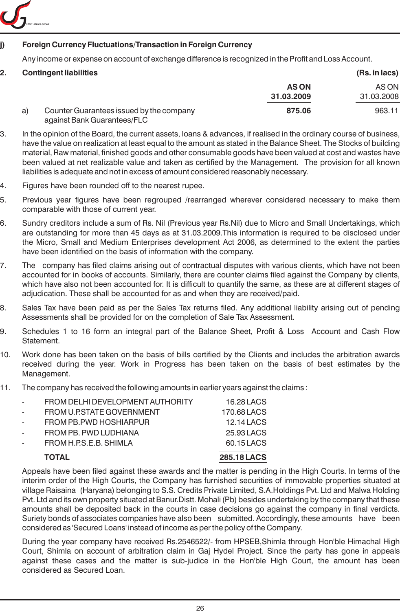

### **j) Foreign Currency Fluctuations/Transaction in Foreign Currency**

Any income or expense on account of exchange difference is recognized in the Profit and Loss Account.

|    | <b>Contingent liabilities</b>                                           |             | (Rs. in lacs) |
|----|-------------------------------------------------------------------------|-------------|---------------|
|    |                                                                         | <b>ASON</b> | AS ON         |
|    |                                                                         | 31.03.2009  | 31.03.2008    |
| a) | Counter Guarantees issued by the company<br>against Bank Guarantees/FLC | 875.06      | 963.11        |

- 3. In the opinion of the Board, the current assets, loans & advances, if realised in the ordinary course of business, have the value on realization at least equal to the amount as stated in the Balance Sheet. The Stocks of building material, Raw material, finished goods and other consumable goods have been valued at cost and wastes have been valued at net realizable value and taken as certified by the Management. The provision for all known liabilities is adequate and not in excess of amount considered reasonably necessary.
- 4. Figures have been rounded off to the nearest rupee.
- 5. Previous year figures have been regrouped /rearranged wherever considered necessary to make them comparable with those of current year.
- 6. Sundry creditors include a sum of Rs. Nil (Previous year Rs.Nil) due to Micro and Small Undertakings, which are outstanding for more than 45 days as at 31.03.2009.This information is required to be disclosed under the Micro, Small and Medium Enterprises development Act 2006, as determined to the extent the parties have been identified on the basis of information with the company.
- 7. The company has filed claims arising out of contractual disputes with various clients, which have not been accounted for in books of accounts. Similarly, there are counter claims filed against the Company by clients, which have also not been accounted for. It is difficult to quantify the same, as these are at different stages of adjudication. These shall be accounted for as and when they are received/paid.
- 8. Sales Tax have been paid as per the Sales Tax returns filed. Any additional liability arising out of pending Assessments shall be provided for on the completion of Sale Tax Assessment.
- 9. Schedules 1 to 16 form an integral part of the Balance Sheet, Profit & Loss Account and Cash Flow Statement.
- 10. Work done has been taken on the basis of bills certified by the Clients and includes the arbitration awards received during the year. Work in Progress has been taken on the basis of best estimates by the Management.
- 11. The company has received the following amounts in earlier years against the claims :

|   | <b>TOTAL</b>                     | <b>285.18 LACS</b> |
|---|----------------------------------|--------------------|
|   | FROM H.P.S.E.B. SHIMLA           | 60.15 LACS         |
| - | FROM PB. PWD LUDHIANA            | 25.93 LACS         |
| - | FROM PB.PWD HOSHIARPUR           | 12.14 LACS         |
|   | FROM U.P.STATE GOVERNMENT        | 170.68 LACS        |
| - | FROM DELHI DEVELOPMENT AUTHORITY | 16.28 LACS         |

Appeals have been filed against these awards and the matter is pending in the High Courts. In terms of the interim order of the High Courts, the Company has furnished securities of immovable properties situated at village Raisaina (Haryana) belonging to S.S. Credits Private Limited, S.A.Holdings Pvt. Ltd and Malwa Holding Pvt. Ltd and its own property situated at Banur.Distt. Mohali (Pb) besides undertaking by the company that these amounts shall be deposited back in the courts in case decisions go against the company in final verdicts. Suriety bonds of associates companies have also been submitted. Accordingly, these amounts have been considered as 'Secured Loans' instead of income as per the policy of the Company.

During the year company have received Rs.2546522/- from HPSEB,Shimla through Hon'ble Himachal High Court, Shimla on account of arbitration claim in Gaj Hydel Project. Since the party has gone in appeals against these cases and the matter is sub-judice in the Hon'ble High Court, the amount has been considered as Secured Loan.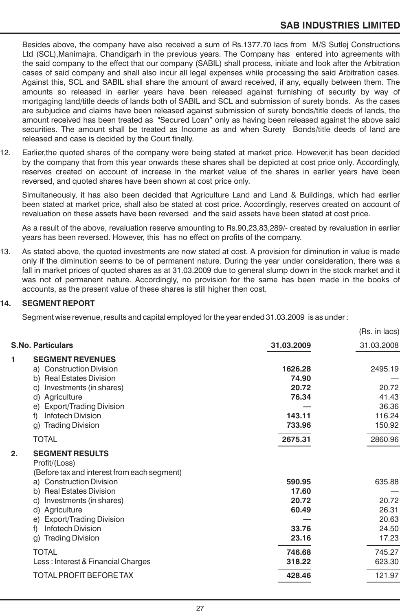Besides above, the company have also received a sum of Rs.1377.70 lacs from M/S Sutlej Constructions Ltd (SCL),Manimajra, Chandigarh in the previous years. The Company has entered into agreements with the said company to the effect that our company (SABIL) shall process, initiate and look after the Arbitration cases of said company and shall also incur all legal expenses while processing the said Arbitration cases. Against this, SCL and SABIL shall share the amount of award received, if any, equally between them. The amounts so released in earlier years have been released against furnishing of security by way of mortgaging land/title deeds of lands both of SABIL and SCL and submission of surety bonds. As the cases are subjudice and claims have been released against submission of surety bonds/title deeds of lands, the amount received has been treated as "Secured Loan" only as having been released against the above said securities. The amount shall be treated as Income as and when Surety Bonds/title deeds of land are released and case is decided by the Court finally.

12. Earlier,the quoted shares of the company were being stated at market price. However,it has been decided by the company that from this year onwards these shares shall be depicted at cost price only. Accordingly, reserves created on account of increase in the market value of the shares in earlier years have been reversed, and quoted shares have been shown at cost price only.

Simultaneously, it has also been decided that Agriculture Land and Land & Buildings, which had earlier been stated at market price, shall also be stated at cost price. Accordingly, reserves created on account of revaluation on these assets have been reversed and the said assets have been stated at cost price.

As a result of the above, revaluation reserve amounting to Rs.90,23,83,289/- created by revaluation in earlier years has been reversed. However, this has no effect on profits of the company.

13. As stated above, the quoted investments are now stated at cost. A provision for diminution in value is made only if the diminution seems to be of permanent nature. During the year under consideration, there was a fall in market prices of quoted shares as at 31.03.2009 due to general slump down in the stock market and it was not of permanent nature. Accordingly, no provision for the same has been made in the books of accounts, as the present value of these shares is still higher then cost.

### **14. SEGMENT REPORT**

Segment wise revenue, results and capital employed for the year ended 31.03.2009 is as under :

|    |                                                                                        |            | (Rs. in lacs) |
|----|----------------------------------------------------------------------------------------|------------|---------------|
|    | <b>S.No. Particulars</b>                                                               | 31.03.2009 | 31.03.2008    |
| 1  | <b>SEGMENT REVENUES</b>                                                                |            |               |
|    | a) Construction Division                                                               | 1626.28    | 2495.19       |
|    | b) Real Estates Division                                                               | 74.90      |               |
|    | Investments (in shares)<br>C)                                                          | 20.72      | 20.72         |
|    | d)<br>Agriculture                                                                      | 76.34      | 41.43         |
|    | <b>Export/Trading Division</b><br>e)                                                   |            | 36.36         |
|    | <b>Infotech Division</b><br>f)                                                         | 143.11     | 116.24        |
|    | <b>Trading Division</b><br>g)                                                          | 733.96     | 150.92        |
|    | <b>TOTAL</b>                                                                           | 2675.31    | 2860.96       |
| 2. | <b>SEGMENT RESULTS</b><br>Profit/(Loss)<br>(Before tax and interest from each segment) |            |               |
|    | a) Construction Division                                                               | 590.95     | 635.88        |
|    | b) Real Estates Division                                                               | 17.60      |               |
|    | Investments (in shares)<br>C)                                                          | 20.72      | 20.72         |
|    | Agriculture<br>d)                                                                      | 60.49      | 26.31         |
|    | <b>Export/Trading Division</b><br>e)                                                   |            | 20.63         |
|    | <b>Infotech Division</b><br>f)                                                         | 33.76      | 24.50         |
|    | <b>Trading Division</b><br>g)                                                          | 23.16      | 17.23         |
|    | <b>TOTAL</b>                                                                           | 746.68     | 745.27        |
|    | Less: Interest & Financial Charges                                                     | 318.22     | 623.30        |
|    | <b>TOTAL PROFIT BEFORE TAX</b>                                                         | 428.46     | 121.97        |
|    |                                                                                        |            |               |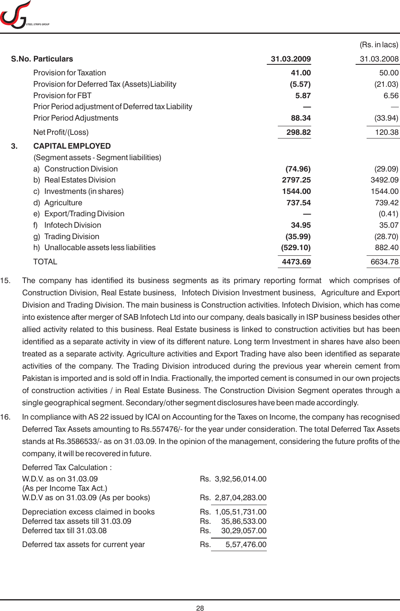

|                                                   |            | (Rs. in lacs) |
|---------------------------------------------------|------------|---------------|
| <b>S.No. Particulars</b>                          | 31.03.2009 | 31.03.2008    |
| <b>Provision for Taxation</b>                     | 41.00      | 50.00         |
| Provision for Deferred Tax (Assets) Liability     | (5.57)     | (21.03)       |
| <b>Provision for FBT</b>                          | 5.87       | 6.56          |
| Prior Period adjustment of Deferred tax Liability |            |               |
| <b>Prior Period Adjustments</b>                   | 88.34      | (33.94)       |
| Net Profit/(Loss)                                 | 298.82     | 120.38        |
| <b>CAPITAL EMPLOYED</b><br>3.                     |            |               |
| (Segment assets - Segment liabilities)            |            |               |
| a) Construction Division                          | (74.96)    | (29.09)       |
| b) Real Estates Division                          | 2797.25    | 3492.09       |
| c) Investments (in shares)                        | 1544.00    | 1544.00       |
| d) Agriculture                                    | 737.54     | 739.42        |
| e) Export/Trading Division                        |            | (0.41)        |
| <b>Infotech Division</b><br>f)                    | 34.95      | 35.07         |
| <b>Trading Division</b><br>g)                     | (35.99)    | (28.70)       |
| h) Unallocable assets less liabilities            | (529.10)   | 882.40        |
| <b>TOTAL</b>                                      | 4473.69    | 6634.78       |

- 15. The company has identified its business segments as its primary reporting format which comprises of Construction Division, Real Estate business, Infotech Division Investment business, Agriculture and Export Division and Trading Division. The main business is Construction activities. Infotech Division, which has come into existence after merger of SAB Infotech Ltd into our company, deals basically in ISP business besides other allied activity related to this business. Real Estate business is linked to construction activities but has been identified as a separate activity in view of its different nature. Long term Investment in shares have also been treated as a separate activity. Agriculture activities and Export Trading have also been identified as separate activities of the company. The Trading Division introduced during the previous year wherein cement from Pakistan is imported and is sold off in India. Fractionally, the imported cement is consumed in our own projects of construction activities / in Real Estate Business. The Construction Division Segment operates through a single geographical segment. Secondary/other segment disclosures have been made accordingly.
- 16. In compliance with AS 22 issued by ICAI on Accounting for the Taxes on Income, the company has recognised Deferred Tax Assets amounting to Rs.557476/- for the year under consideration. The total Deferred Tax Assets stands at Rs.3586533/- as on 31.03.09. In the opinion of the management, considering the future profits of the company, it will be recovered in future.

| Deferred Tax Calculation:            |                     |
|--------------------------------------|---------------------|
| W.D.V. as on 31.03.09                | Rs. 3,92,56,014.00  |
| (As per Income Tax Act.)             |                     |
| W.D.V as on 31.03.09 (As per books)  | Rs. 2,87,04,283.00  |
| Depreciation excess claimed in books | Rs. 1,05,51,731.00  |
| Deferred tax assets till 31.03.09    | 35,86,533.00<br>Rs. |
| Deferred tax till 31.03.08           | 30,29,057.00<br>Rs. |
| Deferred tax assets for current year | 5,57,476.00<br>Rs.  |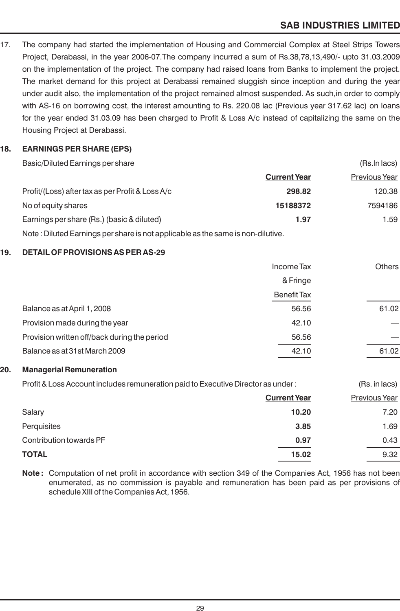# **SAB INDUSTRIES LIMITED**

17. The company had started the implementation of Housing and Commercial Complex at Steel Strips Towers Project, Derabassi, in the year 2006-07.The company incurred a sum of Rs.38,78,13,490/- upto 31.03.2009 on the implementation of the project. The company had raised loans from Banks to implement the project. The market demand for this project at Derabassi remained sluggish since inception and during the year under audit also, the implementation of the project remained almost suspended. As such,in order to comply with AS-16 on borrowing cost, the interest amounting to Rs. 220.08 lac (Previous year 317.62 lac) on loans for the year ended 31.03.09 has been charged to Profit & Loss A/c instead of capitalizing the same on the Housing Project at Derabassi.

### **18. EARNINGS PER SHARE (EPS)**

| Basic/Diluted Earnings per share                                                |                     | (Rs.In lacs)         |
|---------------------------------------------------------------------------------|---------------------|----------------------|
|                                                                                 | <b>Current Year</b> | <b>Previous Year</b> |
| Profit/(Loss) after tax as per Profit & Loss A/c                                | 298.82              | 120.38               |
| No of equity shares                                                             | 15188372            | 7594186              |
| Earnings per share (Rs.) (basic & diluted)                                      | 1.97                | 1.59                 |
| Note: Diluted Earnings per share is not applicable as the same is non-dilutive. |                     |                      |

### **19. DETAIL OF PROVISIONS AS PER AS-29**

|                                              | Income Tax         | <b>Others</b> |
|----------------------------------------------|--------------------|---------------|
|                                              | & Fringe           |               |
|                                              | <b>Benefit Tax</b> |               |
| Balance as at April 1, 2008                  | 56.56              | 61.02         |
| Provision made during the year               | 42.10              |               |
| Provision written off/back during the period | 56.56              |               |
| Balance as at 31st March 2009                | 42.10              | 61.02         |
|                                              |                    |               |

### **20. Managerial Remuneration**

Profit & Loss Account includes remuneration paid to Executive Director as under : (Rs. in lacs)

|                         | <b>Current Year</b> | <b>Previous Year</b> |
|-------------------------|---------------------|----------------------|
| Salary                  | 10.20               | 7.20                 |
| Perquisites             | 3.85                | 1.69                 |
| Contribution towards PF | 0.97                | 0.43                 |
| <b>TOTAL</b>            | 15.02               | 9.32                 |

Note: Computation of net profit in accordance with section 349 of the Companies Act, 1956 has not been enumerated, as no commission is payable and remuneration has been paid as per provisions of schedule XIII of the Companies Act, 1956.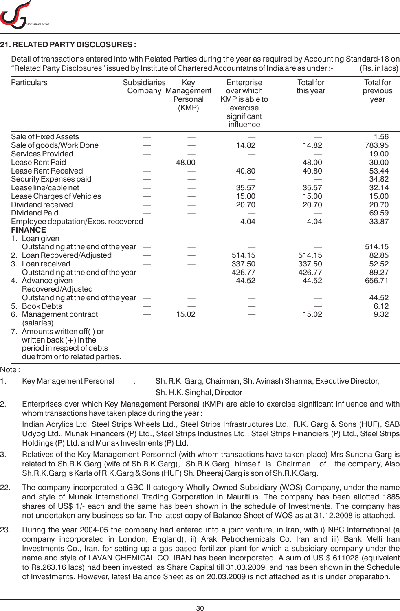

### **21. RELATED PARTY DISCLOSURES :**

Detail of transactions entered into with Related Parties during the year as required by Accounting Standard-18 on "Related Party Disclosures" issued by Institute of Chartered Accountatns of India are as under :- (Rs. in lacs)

| Particulars                                                   | <b>Subsidiaries</b> | Key<br>Company Management<br>Personal<br>(KMP) | Enterprise<br>over which<br>KMP is able to<br>exercise<br>significant<br>influence | <b>Total</b> for<br>this year | <b>Total for</b><br>previous<br>year |
|---------------------------------------------------------------|---------------------|------------------------------------------------|------------------------------------------------------------------------------------|-------------------------------|--------------------------------------|
| Sale of Fixed Assets                                          |                     |                                                |                                                                                    |                               | 1.56                                 |
| Sale of goods/Work Done                                       |                     |                                                | 14.82                                                                              | 14.82                         | 783.95                               |
| <b>Services Provided</b>                                      |                     |                                                |                                                                                    |                               | 19.00                                |
| Lease Rent Paid                                               |                     | 48.00                                          |                                                                                    | 48.00                         | 30.00                                |
| Lease Rent Received                                           |                     |                                                | 40.80                                                                              | 40.80                         | 53.44                                |
| Security Expenses paid                                        |                     |                                                |                                                                                    |                               | 34.82                                |
| Lease line/cable net                                          |                     |                                                | 35.57                                                                              | 35.57                         | 32.14                                |
| Lease Charges of Vehicles                                     |                     |                                                | 15.00                                                                              | 15.00                         | 15.00                                |
| Dividend received                                             |                     |                                                | 20.70                                                                              | 20.70                         | 20.70                                |
| <b>Dividend Paid</b>                                          |                     |                                                |                                                                                    |                               | 69.59                                |
| Employee deputation/Exps. recovered-<br><b>FINANCE</b>        |                     |                                                | 4.04                                                                               | 4.04                          | 33.87                                |
| 1. Loan given                                                 |                     |                                                |                                                                                    |                               |                                      |
| Outstanding at the end of the year                            |                     |                                                |                                                                                    |                               | 514.15                               |
| 2. Loan Recovered/Adjusted                                    |                     |                                                | 514.15                                                                             | 514.15                        | 82.85                                |
| 3. Loan received                                              |                     |                                                | 337.50                                                                             | 337.50                        | 52.52                                |
| Outstanding at the end of the year                            |                     |                                                | 426.77                                                                             | 426.77                        | 89.27                                |
| 4. Advance given                                              |                     |                                                | 44.52                                                                              | 44.52                         | 656.71                               |
| Recovered/Adjusted                                            |                     |                                                |                                                                                    |                               |                                      |
| Outstanding at the end of the year<br>5. Book Debts           |                     |                                                |                                                                                    |                               | 44.52<br>6.12                        |
| 6.                                                            |                     | 15.02                                          |                                                                                    | 15.02                         | 9.32                                 |
| Management contract<br>(salaries)                             |                     |                                                |                                                                                    |                               |                                      |
| 7. Amounts written off(-) or                                  |                     |                                                |                                                                                    |                               |                                      |
| written back $(+)$ in the                                     |                     |                                                |                                                                                    |                               |                                      |
| period in respect of debts<br>due from or to related parties. |                     |                                                |                                                                                    |                               |                                      |

### Note :

1. Key Management Personal : Sh. R.K. Garg, Chairman, Sh. Avinash Sharma, Executive Director, Sh. H.K. Singhal, Director

- 2. Enterprises over which Key Management Personal (KMP) are able to exercise significant influence and with whom transactions have taken place during the year : Indian Acrylics Ltd, Steel Strips Wheels Ltd., Steel Strips Infrastructures Ltd., R.K. Garg & Sons (HUF), SAB Udyog Ltd., Munak Financers (P) Ltd., Steel Strips Industries Ltd., Steel Strips Financiers (P) Ltd., Steel Strips Holdings (P) Ltd. and Munak Investments (P) Ltd.
- 3. Relatives of the Key Management Personnel (with whom transactions have taken place) Mrs Sunena Garg is related to Sh.R.K.Garg (wife of Sh.R.K.Garg), Sh.R.K.Garg himself is Chairman of the company, Also Sh.R.K.Garg is Karta of R.K.Garg & Sons (HUF) Sh. Dheeraj Garg is son of Sh.R.K.Garg.
- 22. The company incorporated a GBC-II category Wholly Owned Subsidiary (WOS) Company, under the name and style of Munak International Trading Corporation in Mauritius. The company has been allotted 1885 shares of US\$ 1/- each and the same has been shown in the schedule of Investments. The company has not undertaken any business so far. The latest copy of Balance Sheet of WOS as at 31.12.2008 is attached.
- 23. During the year 2004-05 the company had entered into a joint venture, in Iran, with i) NPC International (a company incorporated in London, England), ii) Arak Petrochemicals Co. Iran and iii) Bank Melli Iran Investments Co., Iran, for setting up a gas based fertilizer plant for which a subsidiary company under the name and style of LAVAN CHEMICAL CO. IRAN has been incorporated. A sum of US \$ 611028 (equivalent to Rs.263.16 lacs) had been invested as Share Capital till 31.03.2009, and has been shown in the Schedule of Investments. However, latest Balance Sheet as on 20.03.2009 is not attached as it is under preparation.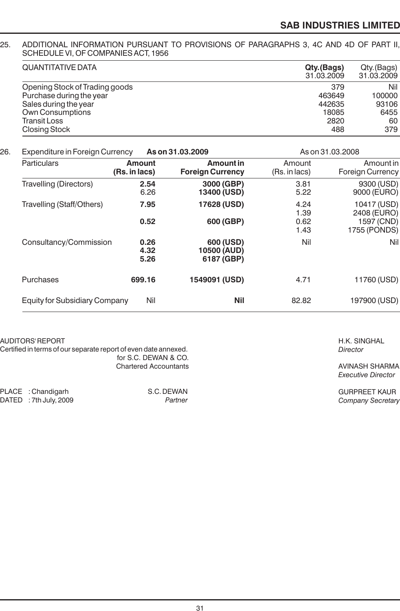# **SAB INDUSTRIES LIMITED**

### 25. ADDITIONAL INFORMATION PURSUANT TO PROVISIONS OF PARAGRAPHS 3, 4C AND 4D OF PART II, SCHEDULE VI, OF COMPANIES ACT, 1956

| <b>QUANTITATIVE DATA</b>       | Qty.(Bags)<br>31.03.2009 | Qty.(Bags)<br>31.03.2009 |
|--------------------------------|--------------------------|--------------------------|
| Opening Stock of Trading goods | 379                      | Nil                      |
| Purchase during the year       | 463649                   | 100000                   |
| Sales during the year          | 442635                   | 93106                    |
| <b>Own Consumptions</b>        | 18085                    | 6455                     |
| Transit Loss                   | 2820                     | 60                       |
| <b>Closing Stock</b>           | 488                      | 379                      |

### 26. Expenditure in Foreign Currency **As on 31.03.2009** As on 31.03.2008

| <b>Particulars</b>                   | Amount<br>(Rs. in lacs) | Amount in<br><b>Foreign Currency</b>   | Amount<br>(Rs. in lacs)      | Amount in<br>Foreign Currency                            |
|--------------------------------------|-------------------------|----------------------------------------|------------------------------|----------------------------------------------------------|
| <b>Travelling (Directors)</b>        | 2.54<br>6.26            | 3000 (GBP)<br>13400 (USD)              | 3.81<br>5.22                 | 9300 (USD)<br>9000 (EURO)                                |
| Travelling (Staff/Others)            | 7.95<br>0.52            | 17628 (USD)<br>600 (GBP)               | 4.24<br>1.39<br>0.62<br>1.43 | 10417 (USD)<br>2408 (EURO)<br>1597 (CND)<br>1755 (PONDS) |
| Consultancy/Commission               | 0.26<br>4.32<br>5.26    | 600 (USD)<br>10500 (AUD)<br>6187 (GBP) | Nil                          | Ni                                                       |
| Purchases                            | 699.16                  | 1549091 (USD)                          | 4.71                         | 11760 (USD)                                              |
| <b>Equity for Subsidiary Company</b> | Nil                     | <b>Nil</b>                             | 82.82                        | 197900 (USD)                                             |

### AUDITORS' REPORT

Certified in terms of our separate report of even date annexed. for S.C. DEWAN & CO. Chartered Accountants

| PLACE : Chandigarh     | S.C. DEWAN |
|------------------------|------------|
| DATED : 7th July, 2009 | Partner    |

H.K. SINGHAL *Director*

AVINASH SHARMA *Executive Director*

GURPREET KAUR *Company Secretary*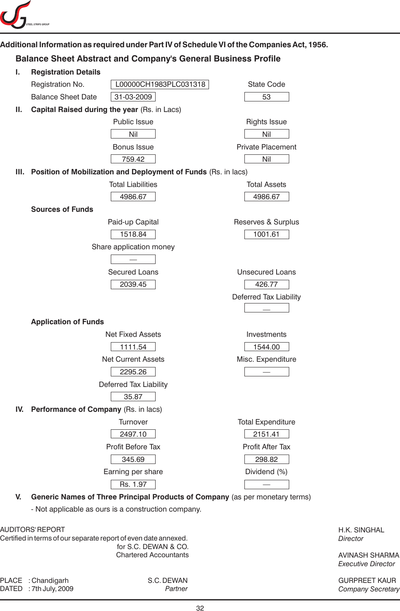

## **Additional Information as required under Part IV of Schedule VI of the Companies Act, 1956.**

# **Balance Sheet Abstract and Company's General Business Profile**

| ı. | <b>Registration Details</b>              |                                                                              |                          |
|----|------------------------------------------|------------------------------------------------------------------------------|--------------------------|
|    | Registration No.                         | L00000CH1983PLC031318                                                        | <b>State Code</b>        |
|    | <b>Balance Sheet Date</b>                | 31-03-2009                                                                   | 53                       |
| Ш. |                                          | Capital Raised during the year (Rs. in Lacs)                                 |                          |
|    |                                          | Public Issue                                                                 | <b>Rights Issue</b>      |
|    |                                          | Nil                                                                          | Nil                      |
|    |                                          | Bonus Issue                                                                  | <b>Private Placement</b> |
|    |                                          | 759.42                                                                       | Nil                      |
| Ш. |                                          | Position of Mobilization and Deployment of Funds (Rs. in lacs)               |                          |
|    |                                          | <b>Total Liabilities</b>                                                     | <b>Total Assets</b>      |
|    |                                          | 4986.67                                                                      | 4986.67                  |
|    | <b>Sources of Funds</b>                  |                                                                              |                          |
|    |                                          | Paid-up Capital                                                              | Reserves & Surplus       |
|    |                                          | 1518.84                                                                      | 1001.61                  |
|    |                                          | Share application money                                                      |                          |
|    |                                          |                                                                              |                          |
|    |                                          | <b>Secured Loans</b>                                                         | <b>Unsecured Loans</b>   |
|    |                                          | 2039.45                                                                      | 426.77                   |
|    |                                          |                                                                              | Deferred Tax Liability   |
|    |                                          |                                                                              |                          |
|    | <b>Application of Funds</b>              |                                                                              |                          |
|    |                                          | <b>Net Fixed Assets</b>                                                      | Investments              |
|    |                                          | 1111.54                                                                      | 1544.00                  |
|    |                                          | <b>Net Current Assets</b>                                                    | Misc. Expenditure        |
|    |                                          | 2295.26                                                                      |                          |
|    |                                          | Deferred Tax Liability                                                       |                          |
|    |                                          | 35.87                                                                        |                          |
|    | IV. Performance of Company (Rs. in lacs) |                                                                              |                          |
|    |                                          | Turnover                                                                     | <b>Total Expenditure</b> |
|    |                                          | 2497.10                                                                      | 2151.41                  |
|    |                                          | Profit Before Tax                                                            | Profit After Tax         |
|    |                                          | 345.69                                                                       | 298.82                   |
|    |                                          | Earning per share                                                            | Dividend (%)             |
|    |                                          | Rs. 1.97                                                                     |                          |
| V. |                                          | Generic Names of Three Principal Products of Company (as per monetary terms) |                          |

- Not applicable as ours is a construction company.

### AUDITORS' REPORT

Certified in terms of our separate report of even date annexed. for S.C. DEWAN & CO. Chartered Accountants

PLACE : Chandigarh S.C. DEWAN DATED : 7th July, 2009

H.K. SINGHAL *Director*

AVINASH SHARMA *Executive Director*

GURPREET KAUR *Company Secretary*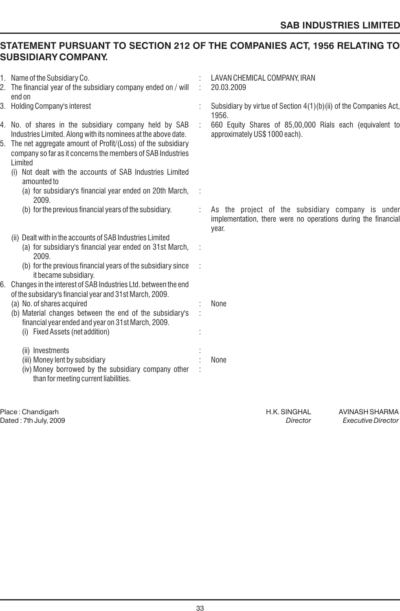# **STATEMENT PURSUANT TO SECTION 212 OF THE COMPANIES ACT, 1956 RELATING TO SUBSIDIARY COMPANY.**

| 1. Name of the Subsidiary Co.<br>2. The financial year of the subsidiary company ended on / will<br>end on                                                                                                                                                                                                                        |   | LAVAN CHEMICAL COMPANY, IRAN<br>20.03.2009                                                                                  |
|-----------------------------------------------------------------------------------------------------------------------------------------------------------------------------------------------------------------------------------------------------------------------------------------------------------------------------------|---|-----------------------------------------------------------------------------------------------------------------------------|
| 3. Holding Company's interest                                                                                                                                                                                                                                                                                                     |   | Subsidiary by virtue of Section 4(1)(b)(ii) of the Companies Act,<br>1956.                                                  |
| 4. No. of shares in the subsidiary company held by SAB<br>Industries Limited. Along with its nominees at the above date.<br>5. The net aggregate amount of Profit/(Loss) of the subsidiary<br>company so far as it concerns the members of SAB Industries<br>Limited<br>(i) Not dealt with the accounts of SAB Industries Limited | ÷ | 660 Equity Shares of 85,00,000 Rials each (equivalent to<br>approximately US\$ 1000 each).                                  |
| amounted to<br>(a) for subsidiary's financial year ended on 20th March,<br>2009.                                                                                                                                                                                                                                                  |   |                                                                                                                             |
| (b) for the previous financial years of the subsidiary.                                                                                                                                                                                                                                                                           |   | As the project of the subsidiary company is under<br>implementation, there were no operations during the financial<br>year. |
| (ii) Dealt with in the accounts of SAB Industries Limited<br>(a) for subsidiary's financial year ended on 31st March,<br>2009.<br>(b) for the previous financial years of the subsidiary since<br>it became subsidiary.                                                                                                           |   |                                                                                                                             |
| 6. Changes in the interest of SAB Industries Ltd. between the end<br>of the subsidary's financial year and 31st March, 2009.<br>(a) No. of shares acquired<br>(b) Material changes between the end of the subsidiary's<br>financial year ended and year on 31st March, 2009.<br>(i) Fixed Assets (net addition)                   |   | None                                                                                                                        |
| (ii) Investments<br>(iii) Money lent by subsidiary<br>(iv) Money borrowed by the subsidiary company other<br>than for meeting current liabilities.                                                                                                                                                                                |   | None                                                                                                                        |
|                                                                                                                                                                                                                                                                                                                                   |   |                                                                                                                             |

Place : Chandigarh H.K. SINGHAL AVINASH SHARMA Dated : 7th July, 2009 *Director Executive Director*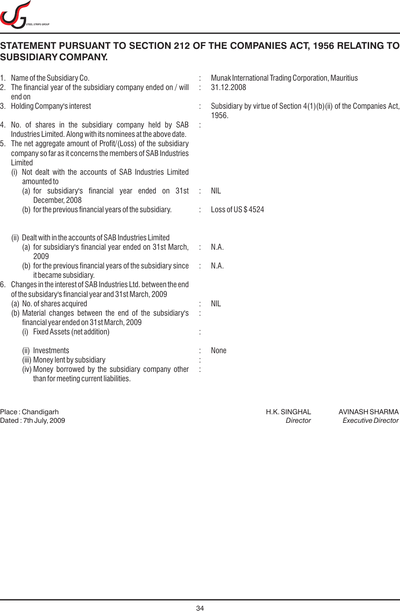

# **STATEMENT PURSUANT TO SECTION 212 OF THE COMPANIES ACT, 1956 RELATING TO SUBSIDIARY COMPANY.**

|  | 1. Name of the Subsidiary Co.<br>2. The financial year of the subsidiary company ended on / will<br>end on                                                                                                                                                                                                                                                                        |               | Munak International Trading Corporation, Mauritius<br>31.12.2008           |
|--|-----------------------------------------------------------------------------------------------------------------------------------------------------------------------------------------------------------------------------------------------------------------------------------------------------------------------------------------------------------------------------------|---------------|----------------------------------------------------------------------------|
|  | 3. Holding Company's interest<br>4. No. of shares in the subsidiary company held by SAB<br>Industries Limited. Along with its nominees at the above date.<br>5. The net aggregate amount of Profit/(Loss) of the subsidiary<br>company so far as it concerns the members of SAB Industries<br>Limited<br>(i) Not dealt with the accounts of SAB Industries Limited<br>amounted to |               | Subsidiary by virtue of Section 4(1)(b)(ii) of the Companies Act,<br>1956. |
|  |                                                                                                                                                                                                                                                                                                                                                                                   |               |                                                                            |
|  | (a) for subsidiary's financial year ended on 31st                                                                                                                                                                                                                                                                                                                                 | $\mathcal{L}$ | NIL                                                                        |
|  | December, 2008<br>(b) for the previous financial years of the subsidiary.                                                                                                                                                                                                                                                                                                         | ÷             | Loss of US\$4524                                                           |
|  | (ii) Dealt with in the accounts of SAB Industries Limited<br>(a) for subsidiary's financial year ended on 31st March,<br>2009<br>(b) for the previous financial years of the subsidiary since<br>it became subsidiary.<br>Changes in the interest of SAB Industries Ltd. between the end<br>of the subsidary's financial year and 31st March, 2009                                |               | N.A.<br>N.A.                                                               |
|  | (a) No. of shares acquired<br>(b) Material changes between the end of the subsidiary's<br>financial year ended on 31st March, 2009<br>(i) Fixed Assets (net addition)                                                                                                                                                                                                             |               | <b>NIL</b>                                                                 |
|  | (ii) Investments<br>(iii) Money lent by subsidiary<br>(iv) Money borrowed by the subsidiary company other<br>than for meeting current liabilities.                                                                                                                                                                                                                                |               | None                                                                       |
|  |                                                                                                                                                                                                                                                                                                                                                                                   |               |                                                                            |

external process of the H.K. SINGHAL AVINASH SHARMA<br>Director https://www.facebook.com/heater/www.facebook.com/heater/www.facebook.com/heater/www.facebook.com/heat<br>Director between the Executive Director Dated : 7th July, 2009 *Director Executive Director*